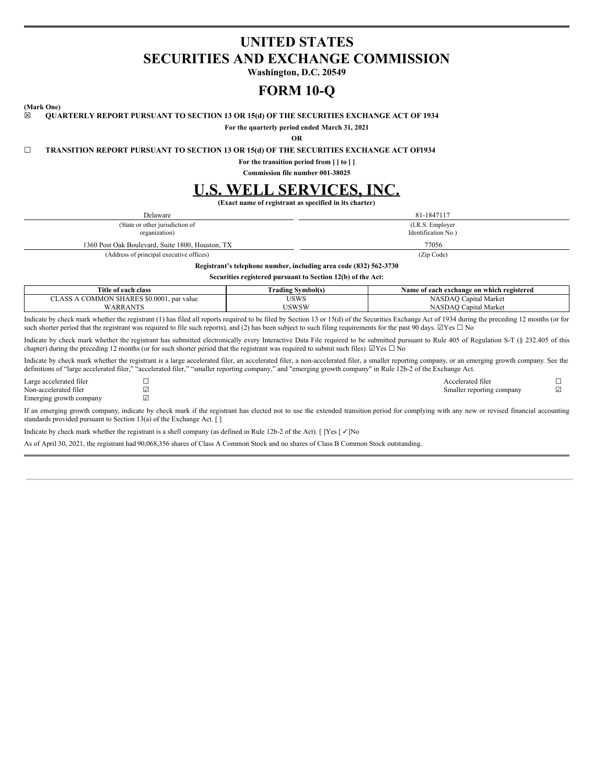# **UNITED STATES SECURITIES AND EXCHANGE COMMISSION**

**Washington, D.C. 20549**

# **FORM 10-Q**

**(Mark One)**

**☒ QUARTERLY REPORT PURSUANT TO SECTION 13 OR 15(d) OF THE SECURITIES EXCHANGE ACT OF 1934**

**For the quarterly period ended March 31, 2021**

**OR**

**☐ TRANSITION REPORT PURSUANT TO SECTION 13 OR 15(d) OF THE SECURITIES EXCHANGE ACT OF1934**

**For the transition period from [ ] to [ ]**

**Commission file number 001-38025**

# **U.S. WELL SERVICES, INC.**

**(Exact name of registrant as specified in its charter)**

| Delaware                                         | 81-1847117                               |
|--------------------------------------------------|------------------------------------------|
| (State or other jurisdiction of<br>organization) | (I.R.S. Employer)<br>Identification No.) |
| 1360 Post Oak Boulevard, Suite 1800, Houston, TX | 77056                                    |
| (Address of principal executive offices)         | (Zip Code)                               |

**Registrant's telephone number, including area code (832) 562-3730**

# **Securities registered pursuant to Section 12(b) of the Act:**

| Title of each class                                 | : Symbol(s<br>1 rading | া each exchange on which registered<br>Name |
|-----------------------------------------------------|------------------------|---------------------------------------------|
| √ SHARES<br>\$ \$0.0001, par value<br><b>COMMON</b> | <b>USWS</b>            | Capital Market<br>NASDAC                    |
| <b>ARRANTS</b>                                      | JSWSW                  | Capital Market<br>NASDAO                    |

Indicate by check mark whether the registrant (1) has filed all reports required to be filed by Section 13 or 15(d) of the Securities Exchange Act of 1934 during the preceding 12 months (or for such shorter period that the registrant was required to file such reports), and (2) has been subject to such filing requirements for the past 90 days. ⊠Yes □ No

Indicate by check mark whether the registrant has submitted electronically every Interactive Data File required to be submitted pursuant to Rule 405 of Regulation S-T (§ 232.405 of this chapter) during the preceding 12 months (or for such shorter period that the registrant was required to submit such files).  $\Box$  Yes  $\Box$  No

Indicate by check mark whether the registrant is a large accelerated filer, an accelerated filer, a non-accelerated filer, a smaller reporting company, or an emerging growth company. See the definitions of "large accelerated filer," "accelerated filer," "smaller reporting company," and "emerging growth company" in Rule 12b-2 of the Exchange Act.

| Large accelerated filer | Accelerated filer         |   |
|-------------------------|---------------------------|---|
| Non-accelerated filer   | Smaller reporting company | ☑ |
| Emerging growth company |                           |   |

If an emerging growth company, indicate by check mark if the registrant has elected not to use the extended transition period for complying with any new or revised financial accounting standards provided pursuant to Section 13(a) of the Exchange Act. [ ]

Indicate by check mark whether the registrant is a shell company (as defined in Rule 12b-2 of the Act). [ ]Yes [ **✓**]No

As of April 30, 2021, the registrant had 90,068,356 shares of Class A Common Stock and no shares of Class B Common Stock outstanding.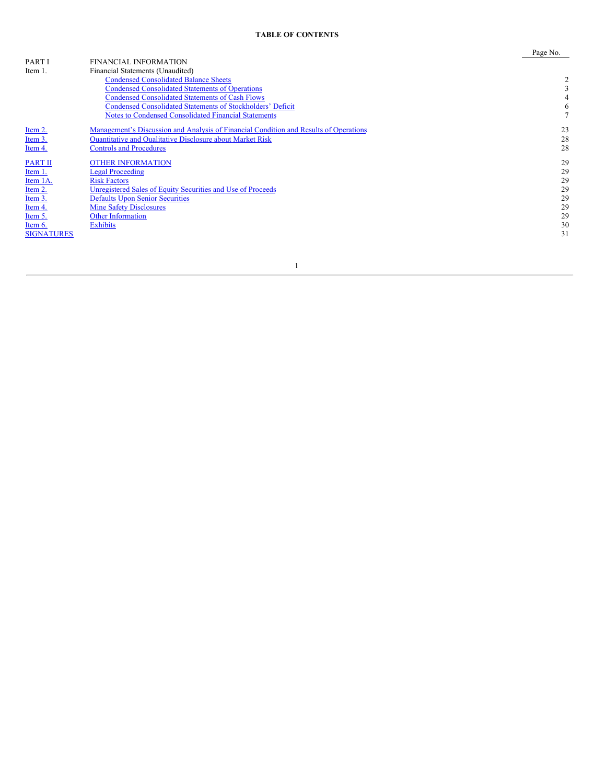|                   |                                                                                       | Page No. |
|-------------------|---------------------------------------------------------------------------------------|----------|
| PART I            | <b>FINANCIAL INFORMATION</b>                                                          |          |
| Item 1.           | Financial Statements (Unaudited)                                                      |          |
|                   | <b>Condensed Consolidated Balance Sheets</b>                                          |          |
|                   | <b>Condensed Consolidated Statements of Operations</b>                                |          |
|                   | <b>Condensed Consolidated Statements of Cash Flows</b>                                |          |
|                   | <b>Condensed Consolidated Statements of Stockholders' Deficit</b>                     | 6        |
|                   | <b>Notes to Condensed Consolidated Financial Statements</b>                           |          |
| Item 2.           | Management's Discussion and Analysis of Financial Condition and Results of Operations | 23       |
| Item 3.           | <b>Quantitative and Qualitative Disclosure about Market Risk</b>                      | 28       |
| Item 4.           | <b>Controls and Procedures</b>                                                        | 28       |
| <b>PART II</b>    | <b>OTHER INFORMATION</b>                                                              | 29       |
| Item 1.           | <b>Legal Proceeding</b>                                                               | 29       |
| Item 1A.          | <b>Risk Factors</b>                                                                   | 29       |
| Item $2.$         | Unregistered Sales of Equity Securities and Use of Proceeds                           | 29       |
| Item 3.           | <b>Defaults Upon Senior Securities</b>                                                | 29       |
| Item 4.           | <b>Mine Safety Disclosures</b>                                                        | 29       |
| Item 5.           | <b>Other Information</b>                                                              | 29       |
| <u>Item 6.</u>    | Exhibits                                                                              | 30       |
| <b>SIGNATURES</b> |                                                                                       | 31       |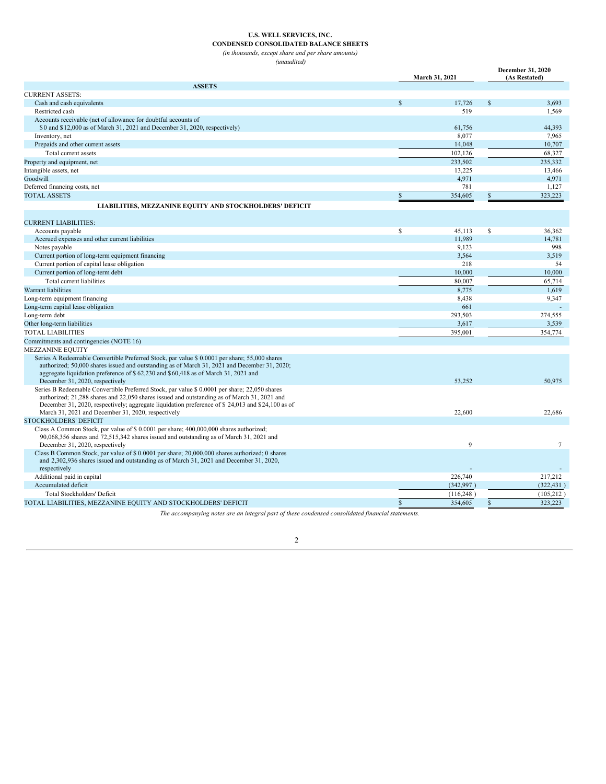# **U.S. WELL SERVICES, INC. CONDENSED CONSOLIDATED BALANCE SHEETS**

*(in thousands, except share and per share amounts)*

*(unaudited)*

<span id="page-2-0"></span>

|                                                                                                                                                                                    |               |                |               | December 31, 2020 |
|------------------------------------------------------------------------------------------------------------------------------------------------------------------------------------|---------------|----------------|---------------|-------------------|
|                                                                                                                                                                                    |               | March 31, 2021 |               | (As Restated)     |
| <b>ASSETS</b>                                                                                                                                                                      |               |                |               |                   |
| <b>CURRENT ASSETS:</b>                                                                                                                                                             |               |                |               |                   |
| Cash and cash equivalents                                                                                                                                                          | <sup>\$</sup> | 17.726         | $\mathbb{S}$  | 3.693             |
| Restricted cash                                                                                                                                                                    |               | 519            |               | 1,569             |
| Accounts receivable (net of allowance for doubtful accounts of                                                                                                                     |               |                |               |                   |
| \$0 and \$12,000 as of March 31, 2021 and December 31, 2020, respectively)                                                                                                         |               | 61,756         |               | 44,393            |
| Inventory, net                                                                                                                                                                     |               | 8,077          |               | 7,965             |
| Prepaids and other current assets                                                                                                                                                  |               | 14,048         |               | 10,707            |
| Total current assets                                                                                                                                                               |               | 102,126        |               | 68,327            |
| Property and equipment, net                                                                                                                                                        |               | 233,502        |               | 235,332           |
| Intangible assets, net                                                                                                                                                             |               | 13.225         |               | 13,466            |
| Goodwill                                                                                                                                                                           |               | 4,971          |               | 4,971             |
| Deferred financing costs, net                                                                                                                                                      |               | 781            |               | 1,127             |
| <b>TOTAL ASSETS</b>                                                                                                                                                                | \$            | 354,605        | $\mathcal{S}$ | 323,223           |
| <b>LIABILITIES, MEZZANINE EQUITY AND STOCKHOLDERS' DEFICIT</b>                                                                                                                     |               |                |               |                   |
|                                                                                                                                                                                    |               |                |               |                   |
| <b>CURRENT LIABILITIES:</b>                                                                                                                                                        |               |                |               |                   |
| Accounts payable                                                                                                                                                                   | \$            | 45,113         | $\mathbb{S}$  | 36,362            |
| Accrued expenses and other current liabilities                                                                                                                                     |               | 11,989         |               | 14,781            |
| Notes payable                                                                                                                                                                      |               | 9,123          |               | 998               |
| Current portion of long-term equipment financing                                                                                                                                   |               | 3,564          |               | 3,519             |
| Current portion of capital lease obligation                                                                                                                                        |               | 218            |               | 54                |
| Current portion of long-term debt                                                                                                                                                  |               | 10,000         |               | 10.000            |
| Total current liabilities                                                                                                                                                          |               | 80,007         |               | 65,714            |
| Warrant liabilities                                                                                                                                                                |               | 8,775          |               | 1,619             |
| Long-term equipment financing                                                                                                                                                      |               | 8,438          |               | 9,347             |
| Long-term capital lease obligation                                                                                                                                                 |               | 661            |               |                   |
| Long-term debt                                                                                                                                                                     |               | 293,503        |               | 274,555           |
| Other long-term liabilities                                                                                                                                                        |               | 3,617          |               | 3,539             |
| <b>TOTAL LIABILITIES</b>                                                                                                                                                           |               | 395,001        |               | 354,774           |
| Commitments and contingencies (NOTE 16)                                                                                                                                            |               |                |               |                   |
| <b>MEZZANINE EQUITY</b>                                                                                                                                                            |               |                |               |                   |
| Series A Redeemable Convertible Preferred Stock, par value \$ 0.0001 per share; 55,000 shares                                                                                      |               |                |               |                   |
| authorized; 50,000 shares issued and outstanding as of March 31, 2021 and December 31, 2020;<br>aggregate liquidation preference of \$62,230 and \$60,418 as of March 31, 2021 and |               |                |               |                   |
| December 31, 2020, respectively                                                                                                                                                    |               | 53.252         |               | 50.975            |
| Series B Redeemable Convertible Preferred Stock, par value \$ 0.0001 per share; 22,050 shares                                                                                      |               |                |               |                   |
| authorized; 21,288 shares and 22,050 shares issued and outstanding as of March 31, 2021 and                                                                                        |               |                |               |                   |
| December 31, 2020, respectively; aggregate liquidation preference of \$24,013 and \$24,100 as of                                                                                   |               |                |               |                   |
| March 31, 2021 and December 31, 2020, respectively                                                                                                                                 |               | 22,600         |               | 22,686            |
| <b>STOCKHOLDERS' DEFICIT</b>                                                                                                                                                       |               |                |               |                   |
| Class A Common Stock, par value of \$ 0.0001 per share; 400,000,000 shares authorized;                                                                                             |               |                |               |                   |
| 90,068,356 shares and 72,515,342 shares issued and outstanding as of March 31, 2021 and                                                                                            |               |                |               |                   |
| December 31, 2020, respectively                                                                                                                                                    |               | 9              |               | $\tau$            |
| Class B Common Stock, par value of \$ 0.0001 per share; 20,000,000 shares authorized; 0 shares                                                                                     |               |                |               |                   |
| and 2,302,936 shares issued and outstanding as of March 31, 2021 and December 31, 2020,                                                                                            |               |                |               |                   |
| respectively                                                                                                                                                                       |               | 226,740        |               | 217,212           |
| Additional paid in capital                                                                                                                                                         |               |                |               | (322, 431)        |
| Accumulated deficit                                                                                                                                                                |               | (342,997)      |               |                   |
| Total Stockholders' Deficit                                                                                                                                                        |               | (116, 248)     |               | (105, 212)        |
| TOTAL LIABILITIES, MEZZANINE EQUITY AND STOCKHOLDERS' DEFICIT                                                                                                                      | \$            | 354,605        |               | 323,223           |

*The accompanying notes are an integral part of these condensed consolidated financial statements.*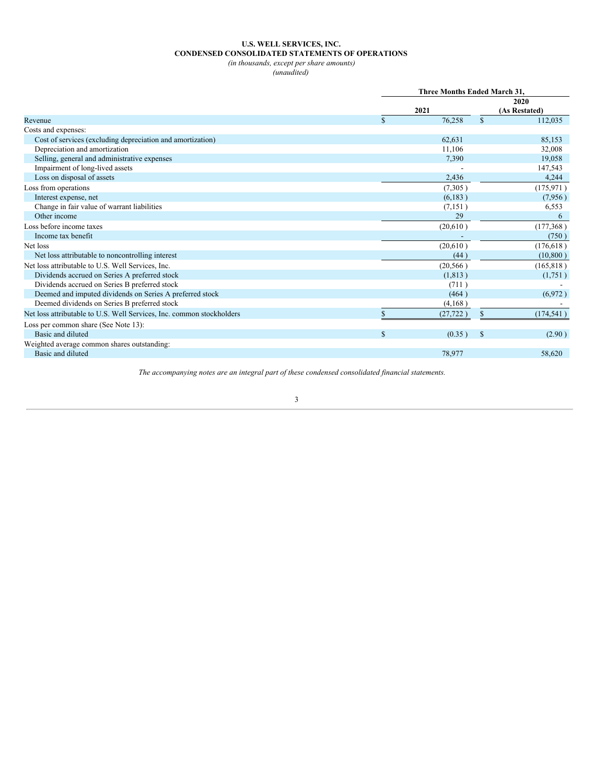# **U.S. WELL SERVICES, INC. CONDENSED CONSOLIDATED STATEMENTS OF OPERATIONS** *(in thousands, except per share amounts)*

*(unaudited)*

<span id="page-3-0"></span>

|                                                                       |             | Three Months Ended March 31, |               |               |  |
|-----------------------------------------------------------------------|-------------|------------------------------|---------------|---------------|--|
|                                                                       |             |                              |               | 2020          |  |
|                                                                       |             | 2021                         |               | (As Restated) |  |
| Revenue                                                               | $\mathbf S$ | 76,258                       | <sup>\$</sup> | 112,035       |  |
| Costs and expenses:                                                   |             |                              |               |               |  |
| Cost of services (excluding depreciation and amortization)            |             | 62,631                       |               | 85,153        |  |
| Depreciation and amortization                                         |             | 11,106                       |               | 32,008        |  |
| Selling, general and administrative expenses                          |             | 7,390                        |               | 19,058        |  |
| Impairment of long-lived assets                                       |             |                              |               | 147,543       |  |
| Loss on disposal of assets                                            |             | 2,436                        |               | 4.244         |  |
| Loss from operations                                                  |             | (7,305)                      |               | (175, 971)    |  |
| Interest expense, net                                                 |             | (6,183)                      |               | (7,956)       |  |
| Change in fair value of warrant liabilities                           |             | (7,151)                      |               | 6,553         |  |
| Other income                                                          |             | 29                           |               | 6             |  |
| Loss before income taxes                                              |             | (20,610)                     |               | (177,368)     |  |
| Income tax benefit                                                    |             |                              |               | (750)         |  |
| Net loss                                                              |             | (20,610)                     |               | (176, 618)    |  |
| Net loss attributable to noncontrolling interest                      |             | (44)                         |               | (10, 800)     |  |
| Net loss attributable to U.S. Well Services, Inc.                     |             | (20, 566)                    |               | (165, 818)    |  |
| Dividends accrued on Series A preferred stock                         |             | (1, 813)                     |               | (1,751)       |  |
| Dividends accrued on Series B preferred stock                         |             | (711)                        |               |               |  |
| Deemed and imputed dividends on Series A preferred stock              |             | (464)                        |               | (6,972)       |  |
| Deemed dividends on Series B preferred stock                          |             | (4,168)                      |               |               |  |
| Net loss attributable to U.S. Well Services, Inc. common stockholders |             | (27, 722)                    | \$            | (174, 541)    |  |
| Loss per common share (See Note 13):                                  |             |                              |               |               |  |
| Basic and diluted                                                     | S           | (0.35)                       | -S            | (2.90)        |  |
| Weighted average common shares outstanding:                           |             |                              |               |               |  |
| Basic and diluted                                                     |             | 78,977                       |               | 58,620        |  |

*The accompanying notes are an integral part of these condensed consolidated financial statements.*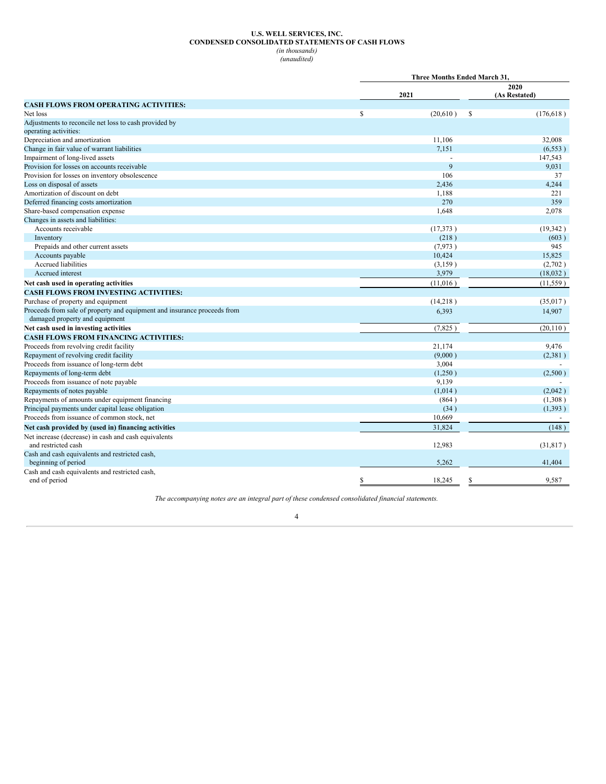#### **U.S. WELL SERVICES, INC. CONDENSED CONSOLIDATED STATEMENTS OF CASH FLOWS** *(in thousands)*

*(unaudited)*

<span id="page-4-0"></span>

|                                                                          |   | <b>Three Months Ended March 31.</b> |               |            |  |  |
|--------------------------------------------------------------------------|---|-------------------------------------|---------------|------------|--|--|
|                                                                          |   | 2021                                |               |            |  |  |
| <b>CASH FLOWS FROM OPERATING ACTIVITIES:</b>                             |   |                                     |               |            |  |  |
| Net loss                                                                 | S | (20,610)                            | <sup>\$</sup> | (176, 618) |  |  |
| Adjustments to reconcile net loss to cash provided by                    |   |                                     |               |            |  |  |
| operating activities:                                                    |   |                                     |               |            |  |  |
| Depreciation and amortization                                            |   | 11,106                              |               | 32.008     |  |  |
| Change in fair value of warrant liabilities                              |   | 7,151                               |               | (6, 553)   |  |  |
| Impairment of long-lived assets                                          |   |                                     |               | 147,543    |  |  |
| Provision for losses on accounts receivable                              |   | 9                                   |               | 9,031      |  |  |
| Provision for losses on inventory obsolescence                           |   | 106                                 |               | 37         |  |  |
| Loss on disposal of assets                                               |   | 2,436                               |               | 4,244      |  |  |
| Amortization of discount on debt                                         |   | 1,188                               |               | 221        |  |  |
| Deferred financing costs amortization                                    |   | 270                                 |               | 359        |  |  |
| Share-based compensation expense                                         |   | 1,648                               |               | 2,078      |  |  |
| Changes in assets and liabilities:                                       |   |                                     |               |            |  |  |
| Accounts receivable                                                      |   | (17, 373)                           |               | (19, 342)  |  |  |
| Inventory                                                                |   | (218)                               |               | (603)      |  |  |
| Prepaids and other current assets                                        |   | (7,973)                             |               | 945        |  |  |
| Accounts payable                                                         |   | 10,424                              |               | 15,825     |  |  |
| <b>Accrued</b> liabilities                                               |   | (3,159)                             |               | (2,702)    |  |  |
| Accrued interest                                                         |   | 3,979                               |               | (18,032)   |  |  |
| Net cash used in operating activities                                    |   | (11,016)                            |               | (11, 559)  |  |  |
| <b>CASH FLOWS FROM INVESTING ACTIVITIES:</b>                             |   |                                     |               |            |  |  |
| Purchase of property and equipment                                       |   | (14,218)                            |               | (35,017)   |  |  |
| Proceeds from sale of property and equipment and insurance proceeds from |   | 6,393                               |               | 14,907     |  |  |
| damaged property and equipment                                           |   |                                     |               |            |  |  |
| Net cash used in investing activities                                    |   | (7,825)                             |               | (20, 110)  |  |  |
| <b>CASH FLOWS FROM FINANCING ACTIVITIES:</b>                             |   |                                     |               |            |  |  |
| Proceeds from revolving credit facility                                  |   | 21,174                              |               | 9,476      |  |  |
| Repayment of revolving credit facility                                   |   | (9,000)                             |               | (2,381)    |  |  |
| Proceeds from issuance of long-term debt                                 |   | 3,004                               |               |            |  |  |
| Repayments of long-term debt                                             |   | (1,250)                             |               | (2,500)    |  |  |
| Proceeds from issuance of note payable                                   |   | 9,139                               |               |            |  |  |
| Repayments of notes payable                                              |   | (1,014)                             |               | (2,042)    |  |  |
| Repayments of amounts under equipment financing                          |   | (864)                               |               | (1,308)    |  |  |
| Principal payments under capital lease obligation                        |   | (34)                                |               | (1, 393)   |  |  |
| Proceeds from issuance of common stock, net                              |   | 10,669                              |               |            |  |  |
| Net cash provided by (used in) financing activities                      |   | 31.824                              |               | (148)      |  |  |
| Net increase (decrease) in cash and cash equivalents                     |   |                                     |               |            |  |  |
| and restricted cash                                                      |   | 12,983                              |               | (31, 817)  |  |  |
| Cash and cash equivalents and restricted cash,                           |   |                                     |               |            |  |  |
| beginning of period                                                      |   | 5.262                               |               | 41,404     |  |  |
| Cash and cash equivalents and restricted cash,                           |   |                                     |               |            |  |  |
| end of period                                                            | S | 18.245                              | <sup>\$</sup> | 9,587      |  |  |

*The accompanying notes are an integral part of these condensed consolidated financial statements.*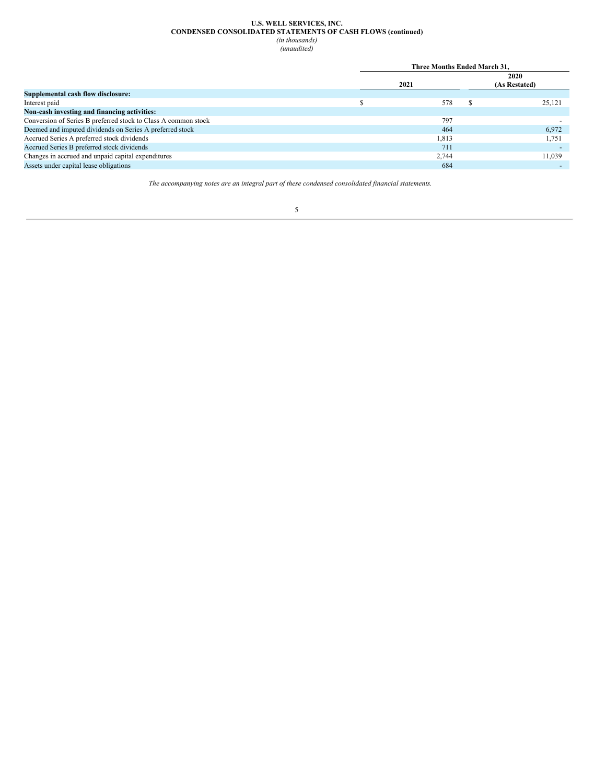#### **U.S. WELL SERVICES, INC. CONDENSED CONSOLIDATED STATEMENTS OF CASH FLOWS (continued)** *(in thousands)*

*(unaudited)*

|                                                                | Three Months Ended March 31, |       |  |                          |  |
|----------------------------------------------------------------|------------------------------|-------|--|--------------------------|--|
|                                                                | 2021                         |       |  | 2020<br>(As Restated)    |  |
| Supplemental cash flow disclosure:                             |                              |       |  |                          |  |
| Interest paid                                                  |                              | 578   |  | 25,121                   |  |
| Non-cash investing and financing activities:                   |                              |       |  |                          |  |
| Conversion of Series B preferred stock to Class A common stock |                              | 797   |  |                          |  |
| Deemed and imputed dividends on Series A preferred stock       |                              | 464   |  | 6,972                    |  |
| Accrued Series A preferred stock dividends                     |                              | 1,813 |  | 1,751                    |  |
| Accrued Series B preferred stock dividends                     |                              | 711   |  | $\overline{\phantom{0}}$ |  |
| Changes in accrued and unpaid capital expenditures             |                              | 2,744 |  | 11,039                   |  |
| Assets under capital lease obligations                         |                              | 684   |  |                          |  |

*The accompanying notes are an integral part of these condensed consolidated financial statements.*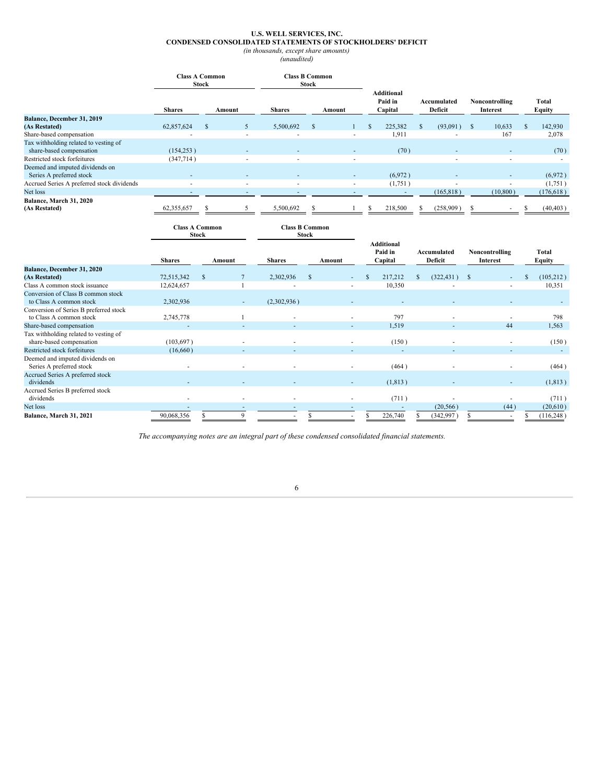# **U.S. WELL SERVICES, INC. CONDENSED CONSOLIDATED STATEMENTS OF STOCKHOLDERS' DEFICIT**

*(in thousands, except share amounts) (unaudited)*

<span id="page-6-0"></span>

|                                            | <b>Class A Common</b> | <b>Stock</b> |                          | <b>Class B Common</b> | Stock         |                          |    |                                         |    |                          |               |                            |                 |
|--------------------------------------------|-----------------------|--------------|--------------------------|-----------------------|---------------|--------------------------|----|-----------------------------------------|----|--------------------------|---------------|----------------------------|-----------------|
|                                            | <b>Shares</b>         |              | Amount                   | <b>Shares</b>         |               | Amount                   |    | <b>Additional</b><br>Paid in<br>Capital |    | Accumulated<br>Deficit   |               | Noncontrolling<br>Interest | Total<br>Equity |
| Balance, December 31, 2019                 |                       |              |                          |                       |               |                          |    |                                         |    |                          |               |                            |                 |
| (As Restated)                              | 62,857,624            |              | 5                        | 5,500,692             | $\mathcal{S}$ |                          | S  | 225,382                                 | S. | (93,091)                 | $\mathcal{S}$ | 10,633                     | 142,930         |
| Share-based compensation                   |                       |              | $\overline{\phantom{a}}$ |                       |               | $\sim$                   |    | 1,911                                   |    |                          |               | 167                        | 2,078           |
| Tax withholding related to vesting of      |                       |              |                          |                       |               |                          |    |                                         |    |                          |               |                            |                 |
| share-based compensation                   | (154, 253)            |              | $\overline{\phantom{a}}$ | ۰                     |               | $\sim$                   |    | (70)                                    |    | $\overline{\phantom{a}}$ |               | ۰                          | (70)            |
| Restricted stock forfeitures               | (347,714)             |              | ٠                        | $\sim$                |               | $\overline{\phantom{a}}$ |    |                                         |    |                          |               | ۰                          |                 |
| Deemed and imputed dividends on            |                       |              |                          |                       |               |                          |    |                                         |    |                          |               |                            |                 |
| Series A preferred stock                   |                       |              |                          | ۰.                    |               | $\overline{\phantom{a}}$ |    | (6,972)                                 |    |                          |               |                            | (6,972)         |
| Accrued Series A preferred stock dividends |                       |              | $\overline{\phantom{a}}$ | ٠                     |               | $\sim$                   |    | (1,751)                                 |    |                          |               |                            | (1,751)         |
| Net loss                                   |                       |              | ٠                        |                       |               |                          |    | $\overline{\phantom{a}}$                |    | (165, 818)               |               | (10, 800)                  | (176, 618)      |
| Balance, March 31, 2020                    |                       |              |                          |                       |               |                          |    |                                         |    |                          |               |                            |                 |
| (As Restated)                              | 62.355.657            |              |                          | 5,500,692             |               |                          | S. | 218,500                                 | S. | (258,909)                | S             |                            | (40, 403)       |
|                                            |                       |              |                          |                       |               |                          |    |                                         |    |                          |               |                            |                 |

# **Class B Common**

**Class A Common**

|                                                                   |               | <b>Stock</b> | <b>Stock</b>  |                          |                                         |                        |                            |                 |
|-------------------------------------------------------------------|---------------|--------------|---------------|--------------------------|-----------------------------------------|------------------------|----------------------------|-----------------|
|                                                                   | <b>Shares</b> | Amount       | <b>Shares</b> | Amount                   | <b>Additional</b><br>Paid in<br>Capital | Accumulated<br>Deficit | Noncontrolling<br>Interest | Total<br>Equity |
| Balance, December 31, 2020                                        |               |              |               |                          |                                         |                        |                            |                 |
| (As Restated)                                                     | 72,515,342    |              | 2,302,936     |                          | 217,212                                 | (322, 431)             | $\mathcal{S}$              | (105, 212)      |
| Class A common stock issuance                                     | 12,624,657    |              |               |                          | 10,350                                  |                        |                            | 10,351          |
| Conversion of Class B common stock<br>to Class A common stock     | 2,302,936     |              | (2,302,936)   |                          |                                         |                        |                            |                 |
| Conversion of Series B preferred stock<br>to Class A common stock | 2,745,778     |              |               |                          | 797                                     |                        |                            | 798             |
| Share-based compensation                                          |               |              |               | $\overline{\phantom{a}}$ | 1,519                                   |                        | 44                         | 1,563           |
| Tax withholding related to vesting of<br>share-based compensation | (103, 697)    |              |               |                          | (150)                                   |                        |                            | (150)           |
| Restricted stock forfeitures                                      | (16,660)      |              |               |                          |                                         |                        |                            |                 |
| Deemed and imputed dividends on<br>Series A preferred stock       |               |              |               |                          | (464)                                   |                        |                            | (464)           |
| Accrued Series A preferred stock<br>dividends                     |               |              |               | $\sim$                   | (1,813)                                 |                        | $\overline{\phantom{a}}$   | (1,813)         |
| Accrued Series B preferred stock<br>dividends                     |               |              |               |                          | (711)                                   |                        |                            | (711)           |
| Net loss                                                          |               |              |               |                          |                                         | (20, 566)              | (44)                       | (20,610)        |
| Balance, March 31, 2021                                           | 90,068,356    |              |               |                          | 226,740                                 | (342,997)              |                            | (116, 248)      |

*The accompanying notes are an integral part of these condensed consolidated financial statements.*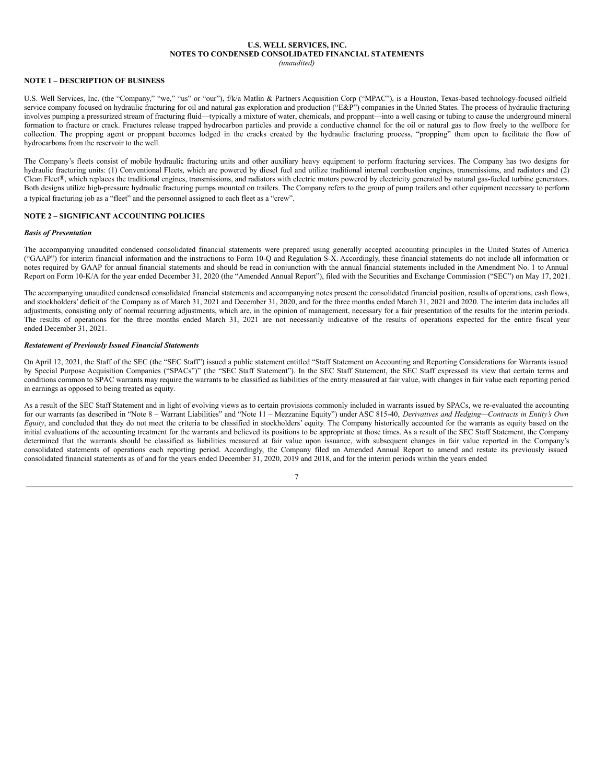# **U.S. WELL SERVICES, INC. NOTES TO CONDENSED CONSOLIDATED FINANCIAL STATEMENTS**

*(unaudited)*

#### <span id="page-7-0"></span>**NOTE 1 – DESCRIPTION OF BUSINESS**

U.S. Well Services, Inc. (the "Company," "we," "us" or "our"), f/k/a Matlin & Partners Acquisition Corp ("MPAC"), is a Houston, Texas-based technology-focused oilfield service company focused on hydraulic fracturing for oil and natural gas exploration and production ("E&P") companies in the United States. The process of hydraulic fracturing involves pumping a pressurized stream of fracturing fluid—typically a mixture of water, chemicals, and proppant—into a well casing or tubing to cause the underground mineral formation to fracture or crack. Fractures release trapped hydrocarbon particles and provide a conductive channel for the oil or natural gas to flow freely to the wellbore for collection. The propping agent or proppant becomes lodged in the cracks created by the hydraulic fracturing process, "propping" them open to facilitate the flow of hydrocarbons from the reservoir to the well.

The Company's fleets consist of mobile hydraulic fracturing units and other auxiliary heavy equipment to perform fracturing services. The Company has two designs for hydraulic fracturing units: (1) Conventional Fleets, which are powered by diesel fuel and utilize traditional internal combustion engines, transmissions, and radiators and (2) Clean Fleet®, which replaces the traditional engines, transmissions, and radiators with electric motors powered by electricity generated by natural gas-fueled turbine generators. Both designs utilize high-pressure hydraulic fracturing pumps mounted on trailers. The Company refers to the group of pump trailers and other equipment necessary to perform a typical fracturing job as a "fleet" and the personnel assigned to each fleet as a "crew".

#### **NOTE 2 – SIGNIFICANT ACCOUNTING POLICIES**

#### *Basis of Presentation*

The accompanying unaudited condensed consolidated financial statements were prepared using generally accepted accounting principles in the United States of America ("GAAP") for interim financial information and the instructions to Form 10-Q and Regulation S-X. Accordingly, these financial statements do not include all information or notes required by GAAP for annual financial statements and should be read in conjunction with the annual financial statements included in the Amendment No. 1 to Annual Report on Form 10-K/A for the year ended December 31, 2020 (the "Amended Annual Report"), filed with the Securities and Exchange Commission ("SEC") on May 17, 2021.

The accompanying unaudited condensed consolidated financial statements and accompanying notes present the consolidated financial position, results of operations, cash flows, and stockholders' deficit of the Company as of March 31, 2021 and December 31, 2020, and for the three months ended March 31, 2021 and 2020. The interim data includes all adjustments, consisting only of normal recurring adjustments, which are, in the opinion of management, necessary for a fair presentation of the results for the interim periods. The results of operations for the three months ended March 31, 2021 are not necessarily indicative of the results of operations expected for the entire fiscal year ended December 31, 2021.

#### *Restatement of Previously Issued Financial Statements*

On April 12, 2021, the Staff of the SEC (the "SEC Staff") issued a public statement entitled "Staff Statement on Accounting and Reporting Considerations for Warrants issued by Special Purpose Acquisition Companies ("SPACs")" (the "SEC Staff Statement"). In the SEC Staff Statement, the SEC Staff expressed its view that certain terms and conditions common to SPAC warrants may require the warrants to be classified as liabilities of the entity measured at fair value, with changes in fair value each reporting period in earnings as opposed to being treated as equity.

As a result of the SEC Staff Statement and in light of evolving views as to certain provisions commonly included in warrants issued by SPACs, we re-evaluated the accounting for our warrants (as described in "Note 8 – Warrant Liabilities" and "Note 11 – Mezzanine Equity") under ASC 815-40, *Derivatives and Hedging—Contracts in Entity's Own Equity*, and concluded that they do not meet the criteria to be classified in stockholders' equity. The Company historically accounted for the warrants as equity based on the initial evaluations of the accounting treatment for the warrants and believed its positions to be appropriate at those times. As a result of the SEC Staff Statement, the Company determined that the warrants should be classified as liabilities measured at fair value upon issuance, with subsequent changes in fair value reported in the Company's consolidated statements of operations each reporting period. Accordingly, the Company filed an Amended Annual Report to amend and restate its previously issued consolidated financial statements as of and for the years ended December 31, 2020, 2019 and 2018, and for the interim periods within the years ended

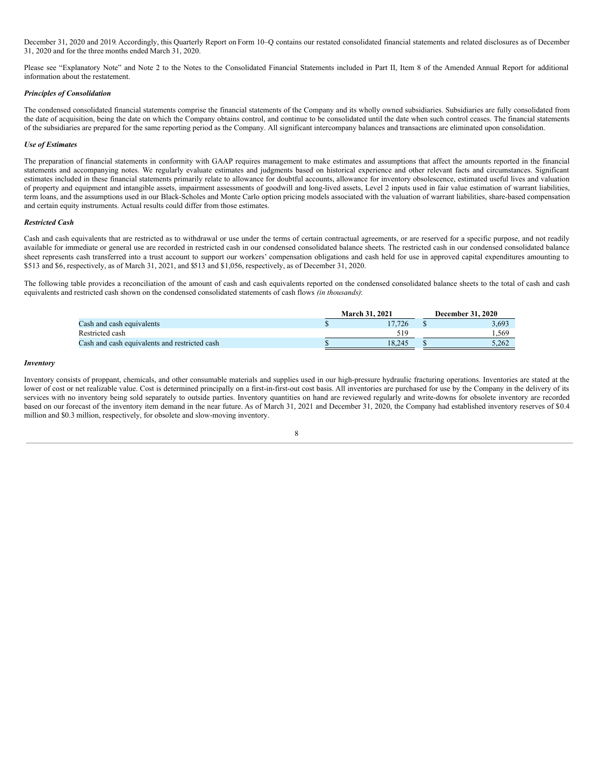December 31, 2020 and 2019. Accordingly, this Quarterly Report on Form 10–Q contains our restated consolidated financial statements and related disclosures as of December 31, 2020 and for the three months ended March 31, 2020.

Please see "Explanatory Note" and Note 2 to the Notes to the Consolidated Financial Statements included in Part II, Item 8 of the Amended Annual Report for additional information about the restatement.

#### *Principles of Consolidation*

The condensed consolidated financial statements comprise the financial statements of the Company and its wholly owned subsidiaries. Subsidiaries are fully consolidated from the date of acquisition, being the date on which the Company obtains control, and continue to be consolidated until the date when such control ceases. The financial statements of the subsidiaries are prepared for the same reporting period as the Company. All significant intercompany balances and transactions are eliminated upon consolidation.

#### *Use of Estimates*

The preparation of financial statements in conformity with GAAP requires management to make estimates and assumptions that affect the amounts reported in the financial statements and accompanying notes. We regularly evaluate estimates and judgments based on historical experience and other relevant facts and circumstances. Significant estimates included in these financial statements primarily relate to allowance for doubtful accounts, allowance for inventory obsolescence, estimated useful lives and valuation of property and equipment and intangible assets, impairment assessments of goodwill and long-lived assets, Level 2 inputs used in fair value estimation of warrant liabilities, term loans, and the assumptions used in our Black-Scholes and Monte Carlo option pricing models associated with the valuation of warrant liabilities, share-based compensation and certain equity instruments. Actual results could differ from those estimates.

## *Restricted Cash*

Cash and cash equivalents that are restricted as to withdrawal or use under the terms of certain contractual agreements, or are reserved for a specific purpose, and not readily available for immediate or general use are recorded in restricted cash in our condensed consolidated balance sheets. The restricted cash in our condensed consolidated balance sheet represents cash transferred into a trust account to support our workers' compensation obligations and cash held for use in approved capital expenditures amounting to \$513 and \$6, respectively, as of March 31, 2021, and \$513 and \$1,056, respectively, as of December 31, 2020.

The following table provides a reconciliation of the amount of cash and cash equivalents reported on the condensed consolidated balance sheets to the total of cash and cash equivalents and restricted cash shown on the condensed consolidated statements of cash flows *(in thousands)*:

|                                               | <b>March 31, 2021</b> |        |  | <b>December 31, 2020</b> |
|-----------------------------------------------|-----------------------|--------|--|--------------------------|
| Cash and cash equivalents                     |                       | 17.726 |  | 3,693                    |
| Restricted cash                               |                       |        |  | . .569                   |
| Cash and cash equivalents and restricted cash |                       | 18.245 |  | 5.262                    |

#### *Inventory*

Inventory consists of proppant, chemicals, and other consumable materials and supplies used in our high-pressure hydraulic fracturing operations. Inventories are stated at the lower of cost or net realizable value. Cost is determined principally on a first-in-first-out cost basis. All inventories are purchased for use by the Company in the delivery of its services with no inventory being sold separately to outside parties. Inventory quantities on hand are reviewed regularly and write-downs for obsolete inventory are recorded based on our forecast of the inventory item demand in the near future. As of March 31, 2021 and December 31, 2020, the Company had established inventory reserves of \$0.4 million and \$0.3 million, respectively, for obsolete and slow-moving inventory.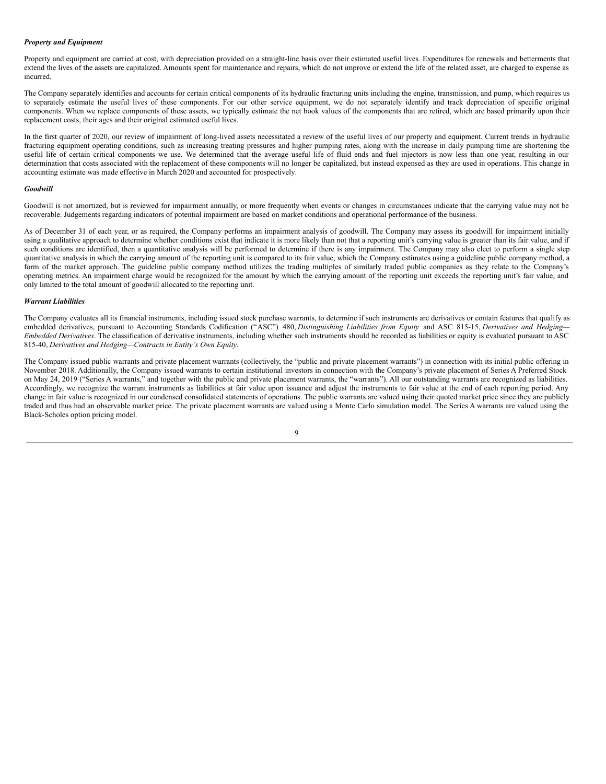## *Property and Equipment*

Property and equipment are carried at cost, with depreciation provided on a straight-line basis over their estimated useful lives. Expenditures for renewals and betterments that extend the lives of the assets are capitalized. Amounts spent for maintenance and repairs, which do not improve or extend the life of the related asset, are charged to expense as incurred.

The Company separately identifies and accounts for certain critical components of its hydraulic fracturing units including the engine, transmission, and pump, which requires us to separately estimate the useful lives of these components. For our other service equipment, we do not separately identify and track depreciation of specific original components. When we replace components of these assets, we typically estimate the net book values of the components that are retired, which are based primarily upon their replacement costs, their ages and their original estimated useful lives.

In the first quarter of 2020, our review of impairment of long-lived assets necessitated a review of the useful lives of our property and equipment. Current trends in hydraulic fracturing equipment operating conditions, such as increasing treating pressures and higher pumping rates, along with the increase in daily pumping time are shortening the useful life of certain critical components we use. We determined that the average useful life of fluid ends and fuel injectors is now less than one year, resulting in our determination that costs associated with the replacement of these components will no longer be capitalized, but instead expensed as they are used in operations. This change in accounting estimate was made effective in March 2020 and accounted for prospectively.

#### *Goodwill*

Goodwill is not amortized, but is reviewed for impairment annually, or more frequently when events or changes in circumstances indicate that the carrying value may not be recoverable. Judgements regarding indicators of potential impairment are based on market conditions and operational performance of the business.

As of December 31 of each year, or as required, the Company performs an impairment analysis of goodwill. The Company may assess its goodwill for impairment initially using a qualitative approach to determine whether conditions exist that indicate it is more likely than not that a reporting unit's carrying value is greater than its fair value, and if such conditions are identified, then a quantitative analysis will be performed to determine if there is any impairment. The Company may also elect to perform a single step quantitative analysis in which the carrying amount of the reporting unit is compared to its fair value, which the Company estimates using a guideline public company method, a form of the market approach. The guideline public company method utilizes the trading multiples of similarly traded public companies as they relate to the Company's operating metrics. An impairment charge would be recognized for the amount by which the carrying amount of the reporting unit exceeds the reporting unit's fair value, and only limited to the total amount of goodwill allocated to the reporting unit.

#### *Warrant Liabilities*

The Company evaluates all its financial instruments, including issued stock purchase warrants, to determine if such instruments are derivatives or contain features that qualify as embedded derivatives, pursuant to Accounting Standards Codification ("ASC") 480, *Distinguishing Liabilities from Equity* and ASC 815-15, *Derivatives and Hedging— Embedded Derivatives*. The classification of derivative instruments, including whether such instruments should be recorded as liabilities or equity is evaluated pursuant to ASC 815-40, *Derivatives and Hedging—Contracts in Entity's Own Equity*.

The Company issued public warrants and private placement warrants (collectively, the "public and private placement warrants") in connection with its initial public offering in November 2018. Additionally, the Company issued warrants to certain institutional investors in connection with the Company's private placement of Series A Preferred Stock on May 24, 2019 ("Series A warrants," and together with the public and private placement warrants, the "warrants"). All our outstanding warrants are recognized as liabilities. Accordingly, we recognize the warrant instruments as liabilities at fair value upon issuance and adjust the instruments to fair value at the end of each reporting period. Any change in fair value is recognized in our condensed consolidated statements of operations. The public warrants are valued using their quoted market price since they are publicly traded and thus had an observable market price. The private placement warrants are valued using a Monte Carlo simulation model. The Series A warrants are valued using the Black-Scholes option pricing model.

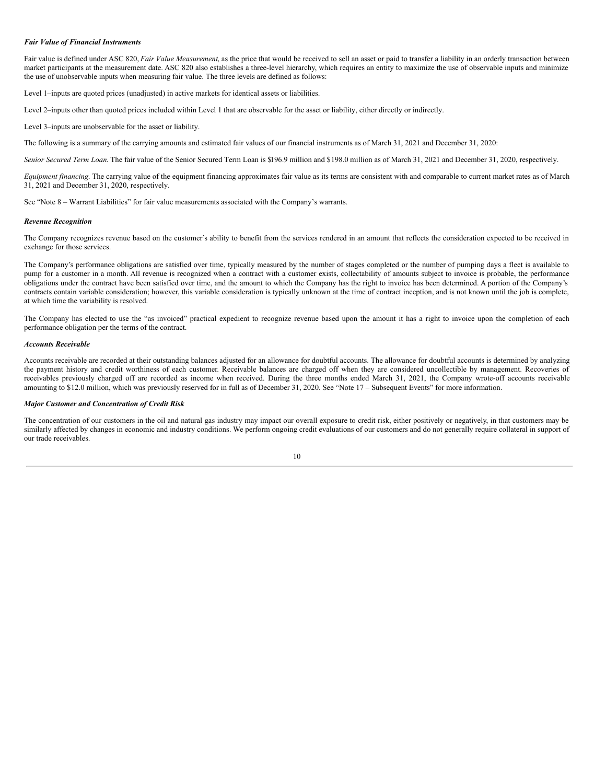#### *Fair Value of Financial Instruments*

Fair value is defined under ASC 820, *Fair Value Measurement*, as the price that would be received to sell an asset or paid to transfer a liability in an orderly transaction between market participants at the measurement date. ASC 820 also establishes a three-level hierarchy, which requires an entity to maximize the use of observable inputs and minimize the use of unobservable inputs when measuring fair value. The three levels are defined as follows:

Level 1–inputs are quoted prices (unadjusted) in active markets for identical assets or liabilities.

Level 2–inputs other than quoted prices included within Level 1 that are observable for the asset or liability, either directly or indirectly.

Level 3–inputs are unobservable for the asset or liability.

The following is a summary of the carrying amounts and estimated fair values of our financial instruments as of March 31, 2021 and December 31, 2020:

*Senior Secured Term Loan*. The fair value of the Senior Secured Term Loan is \$196.9 million and \$198.0 million as of March 31, 2021 and December 31, 2020, respectively.

*Equipment financing*. The carrying value of the equipment financing approximates fair value as its terms are consistent with and comparable to current market rates as of March 31, 2021 and December 31, 2020, respectively.

See "Note 8 – Warrant Liabilities" for fair value measurements associated with the Company's warrants.

#### *Revenue Recognition*

The Company recognizes revenue based on the customer's ability to benefit from the services rendered in an amount that reflects the consideration expected to be received in exchange for those services.

The Company's performance obligations are satisfied over time, typically measured by the number of stages completed or the number of pumping days a fleet is available to pump for a customer in a month. All revenue is recognized when a contract with a customer exists, collectability of amounts subject to invoice is probable, the performance obligations under the contract have been satisfied over time, and the amount to which the Company has the right to invoice has been determined. A portion of the Company's contracts contain variable consideration; however, this variable consideration is typically unknown at the time of contract inception, and is not known until the job is complete, at which time the variability is resolved.

The Company has elected to use the "as invoiced" practical expedient to recognize revenue based upon the amount it has a right to invoice upon the completion of each performance obligation per the terms of the contract.

#### *Accounts Receivable*

Accounts receivable are recorded at their outstanding balances adjusted for an allowance for doubtful accounts. The allowance for doubtful accounts is determined by analyzing the payment history and credit worthiness of each customer. Receivable balances are charged off when they are considered uncollectible by management. Recoveries of receivables previously charged off are recorded as income when received. During the three months ended March 31, 2021, the Company wrote-off accounts receivable amounting to \$12.0 million, which was previously reserved for in full as of December 31, 2020. See "Note 17 – Subsequent Events" for more information.

#### *Major Customer and Concentration of Credit Risk*

The concentration of our customers in the oil and natural gas industry may impact our overall exposure to credit risk, either positively or negatively, in that customers may be similarly affected by changes in economic and industry conditions. We perform ongoing credit evaluations of our customers and do not generally require collateral in support of our trade receivables.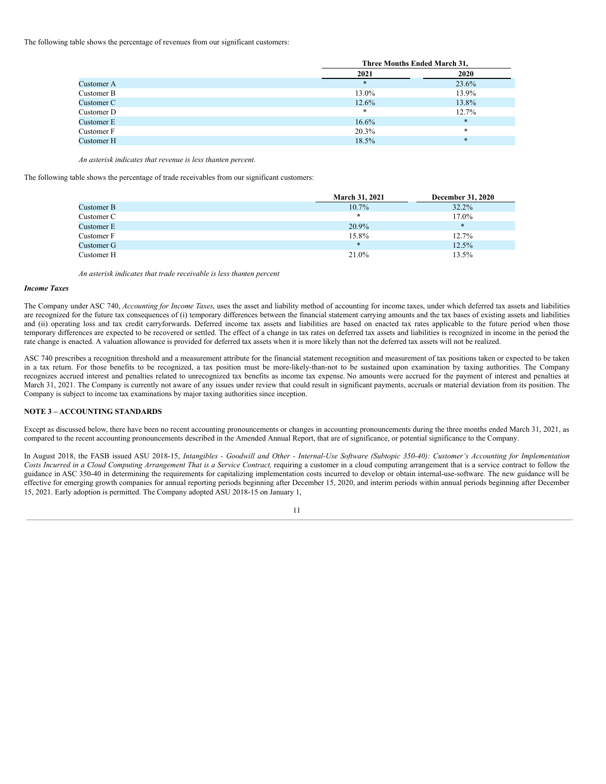The following table shows the percentage of revenues from our significant customers:

|            | Three Months Ended March 31, |          |
|------------|------------------------------|----------|
|            | 2021                         | 2020     |
| Customer A | $\ast$                       | 23.6%    |
| Customer B | 13.0%                        | 13.9%    |
| Customer C | $12.6\%$                     | 13.8%    |
| Customer D | *                            | $12.7\%$ |
| Customer E | $16.6\%$                     | $\ast$   |
| Customer F | 20.3%                        | $\ast$   |
| Customer H | 18.5%                        | $\ast$   |
|            |                              |          |

#### *An asterisk indicates that revenue is less thanten percent.*

The following table shows the percentage of trade receivables from our significant customers:

|            | <b>March 31, 2021</b> | <b>December 31, 2020</b> |
|------------|-----------------------|--------------------------|
| Customer B | $10.7\%$              | $32.2\%$                 |
| Customer C | *                     | 17.0%                    |
| Customer E | $20.9\%$              | $\ast$                   |
| Customer F | 15.8%                 | $12.7\%$                 |
| Customer G | $\ast$                | $12.5\%$                 |
| Customer H | 21.0%                 | 13.5%                    |

*An asterisk indicates that trade receivable is less thanten percent*

# *Income Taxes*

The Company under ASC 740, *Accounting for Income Taxes*, uses the asset and liability method of accounting for income taxes, under which deferred tax assets and liabilities are recognized for the future tax consequences of (i) temporary differences between the financial statement carrying amounts and the tax bases of existing assets and liabilities and (ii) operating loss and tax credit carryforwards. Deferred income tax assets and liabilities are based on enacted tax rates applicable to the future period when those temporary differences are expected to be recovered or settled. The effect of a change in tax rates on deferred tax assets and liabilities is recognized in income in the period the rate change is enacted. A valuation allowance is provided for deferred tax assets when it is more likely than not the deferred tax assets will not be realized.

ASC 740 prescribes a recognition threshold and a measurement attribute for the financial statement recognition and measurement of tax positions taken or expected to be taken in a tax return. For those benefits to be recognized, a tax position must be more-likely-than-not to be sustained upon examination by taxing authorities. The Company recognizes accrued interest and penalties related to unrecognized tax benefits as income tax expense. No amounts were accrued for the payment of interest and penalties at March 31, 2021. The Company is currently not aware of any issues under review that could result in significant payments, accruals or material deviation from its position. The Company is subject to income tax examinations by major taxing authorities since inception.

# **NOTE 3 – ACCOUNTING STANDARDS**

Except as discussed below, there have been no recent accounting pronouncements or changes in accounting pronouncements during the three months ended March 31, 2021, as compared to the recent accounting pronouncements described in the Amended Annual Report, that are of significance, or potential significance to the Company.

In August 2018, the FASB issued ASU 2018-15, Intangibles - Goodwill and Other - Internal-Use Software (Subtopic 350-40): Customer's Accounting for Implementation Costs Incurred in a Cloud Computing Arrangement That is a Service Contract, requiring a customer in a cloud computing arrangement that is a service contract to follow the guidance in ASC 350-40 in determining the requirements for capitalizing implementation costs incurred to develop or obtain internal-use-software. The new guidance will be effective for emerging growth companies for annual reporting periods beginning after December 15, 2020, and interim periods within annual periods beginning after December 15, 2021. Early adoption is permitted. The Company adopted ASU 2018-15 on January 1,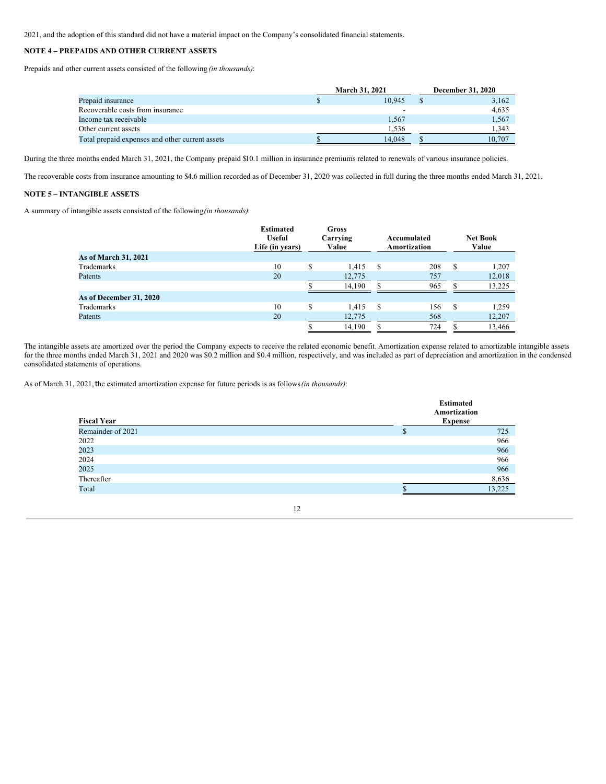2021, and the adoption of this standard did not have a material impact on the Company's consolidated financial statements.

# **NOTE 4 – PREPAIDS AND OTHER CURRENT ASSETS**

Prepaids and other current assets consisted of the following *(in thousands)*:

|                                                 | <b>March 31, 2021</b> |        | <b>December 31, 2020</b> |        |  |
|-------------------------------------------------|-----------------------|--------|--------------------------|--------|--|
| Prepaid insurance                               |                       | 10.945 |                          | 3.162  |  |
| Recoverable costs from insurance                |                       | -      |                          | 4.635  |  |
| Income tax receivable                           |                       | 1.567  |                          | 1.567  |  |
| Other current assets                            |                       | 1.536  |                          | 1.343  |  |
| Total prepaid expenses and other current assets |                       | 14.048 |                          | 10.707 |  |

During the three months ended March 31, 2021, the Company prepaid \$10.1 million in insurance premiums related to renewals of various insurance policies.

The recoverable costs from insurance amounting to \$4.6 million recorded as of December 31, 2020 was collected in full during the three months ended March 31, 2021.

# **NOTE 5 – INTANGIBLE ASSETS**

A summary of intangible assets consisted of the following*(in thousands)*:

|                         | <b>Estimated</b><br><b>Useful</b><br>Life (in years) |   | Gross<br>Carrying<br>Value |   | Accumulated<br>Amortization |   | <b>Net Book</b><br>Value |
|-------------------------|------------------------------------------------------|---|----------------------------|---|-----------------------------|---|--------------------------|
| As of March 31, 2021    |                                                      |   |                            |   |                             |   |                          |
| Trademarks              | 10                                                   | S | 1,415                      | S | 208                         | S | 1,207                    |
| Patents                 | 20                                                   |   | 12,775                     |   | 757                         |   | 12,018                   |
|                         |                                                      |   | 14.190                     |   | 965                         |   | 13.225                   |
| As of December 31, 2020 |                                                      |   |                            |   |                             |   |                          |
| Trademarks              | 10                                                   | S | 1.415                      | S | 156                         | S | 1,259                    |
| Patents                 | 20                                                   |   | 12,775                     |   | 568                         |   | 12,207                   |
|                         |                                                      | S | 14.190                     |   | 724                         |   | 13.466                   |

The intangible assets are amortized over the period the Company expects to receive the related economic benefit. Amortization expense related to amortizable intangible assets for the three months ended March 31, 2021 and 2020 was \$0.2 million and \$0.4 million, respectively, and was included as part of depreciation and amortization in the condensed consolidated statements of operations.

As of March 31, 2021, the estimated amortization expense for future periods is as follows (in *thousands*):

| <b>Fiscal Year</b> | <b>Estimated</b><br>Amortization<br><b>Expense</b> |        |  |  |
|--------------------|----------------------------------------------------|--------|--|--|
| Remainder of 2021  |                                                    | 725    |  |  |
| 2022               |                                                    | 966    |  |  |
| 2023               |                                                    | 966    |  |  |
| 2024               |                                                    | 966    |  |  |
| 2025               |                                                    | 966    |  |  |
| Thereafter         |                                                    | 8,636  |  |  |
| Total              |                                                    | 13,225 |  |  |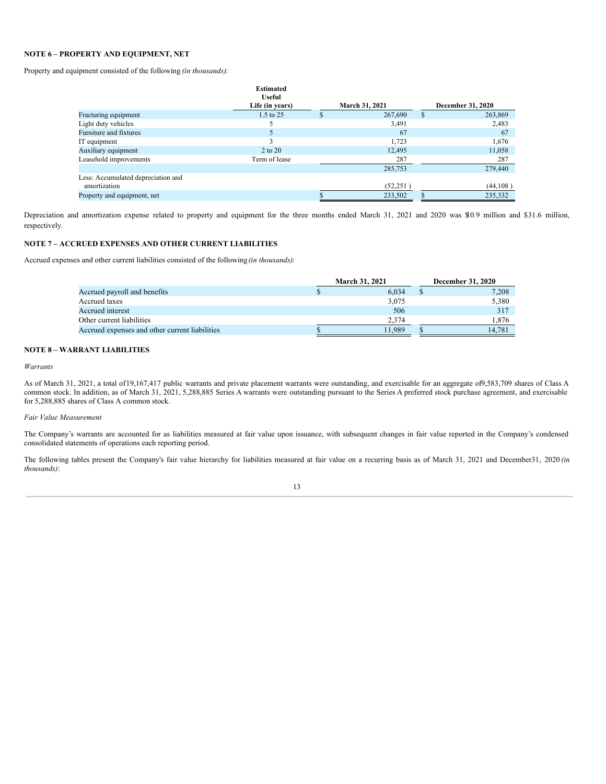# **NOTE 6 – PROPERTY AND EQUIPMENT, NET**

Property and equipment consisted of the following *(in thousands)*:

|                                    | <b>Estimated</b><br><b>Useful</b> |   |                |   |                          |
|------------------------------------|-----------------------------------|---|----------------|---|--------------------------|
|                                    | Life (in years)                   |   | March 31, 2021 |   | <b>December 31, 2020</b> |
| Fracturing equipment               | 1.5 to 25                         | S | 267,690        | S | 263,869                  |
| Light duty vehicles                |                                   |   | 3,491          |   | 2,483                    |
| Furniture and fixtures             |                                   |   | 67             |   | 67                       |
| IT equipment                       |                                   |   | 1,723          |   | 1,676                    |
| Auxiliary equipment                | 2 to 20                           |   | 12,495         |   | 11,058                   |
| Leasehold improvements             | Term of lease                     |   | 287            |   | 287                      |
|                                    |                                   |   | 285,753        |   | 279,440                  |
| Less: Accumulated depreciation and |                                   |   |                |   |                          |
| amortization                       |                                   |   | (52, 251)      |   | (44,108)                 |
| Property and equipment, net        |                                   |   | 233,502        |   | 235,332                  |
|                                    |                                   |   |                |   |                          |

Depreciation and amortization expense related to property and equipment for the three months ended March 31, 2021 and 2020 was \$0.9 million and \$31.6 million, respectively.

# **NOTE 7 – ACCRUED EXPENSES AND OTHER CURRENT LIABILITIES**

Accrued expenses and other current liabilities consisted of the following *(in thousands)*:

|                                                | <b>March 31, 2021</b> | <b>December 31, 2020</b> |        |  |
|------------------------------------------------|-----------------------|--------------------------|--------|--|
| Accrued payroll and benefits                   | 6.034                 |                          | 7.208  |  |
| Accrued taxes                                  | 3.075                 |                          | 5.380  |  |
| Accrued interest                               | 506                   |                          | 317    |  |
| Other current liabilities                      | 2.374                 |                          | 1.876  |  |
| Accrued expenses and other current liabilities | 11.989                |                          | 14.781 |  |

# **NOTE 8 – WARRANT LIABILITIES**

#### *Warrants*

As of March 31, 2021, a total of19,167,417 public warrants and private placement warrants were outstanding, and exercisable for an aggregate of9,583,709 shares of Class A common stock. In addition, as of March 31, 2021, 5,288,885 Series A warrants were outstanding pursuant to the Series A preferred stock purchase agreement, and exercisable for 5,288,885 shares of Class A common stock.

# *Fair Value Measurement*

The Company's warrants are accounted for as liabilities measured at fair value upon issuance, with subsequent changes in fair value reported in the Company's condensed consolidated statements of operations each reporting period.

The following tables present the Company's fair value hierarchy for liabilities measured at fair value on a recurring basis as of March 31, 2021 and December31, 2020 *(in thousands)*:

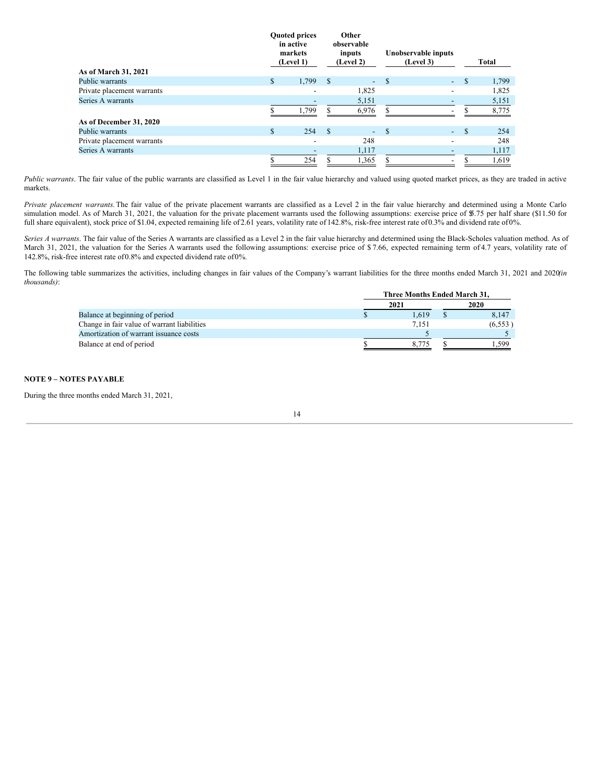|                             |               | <b>Quoted prices</b><br>in active<br>markets<br>(Level 1) |               | Other<br>observable<br>inputs<br>(Level 2) |   | Unobservable inputs<br>(Level 3) |              | Total |
|-----------------------------|---------------|-----------------------------------------------------------|---------------|--------------------------------------------|---|----------------------------------|--------------|-------|
| <b>As of March 31, 2021</b> |               |                                                           |               |                                            |   |                                  |              |       |
| Public warrants             | $\mathbb{S}$  | 1.799                                                     | <sup>\$</sup> | $\sim$                                     | S | $\sim 100$                       | <sup>S</sup> | 1,799 |
| Private placement warrants  |               |                                                           |               | 1,825                                      |   |                                  |              | 1,825 |
| Series A warrants           |               |                                                           |               | 5,151                                      |   |                                  |              | 5,151 |
|                             |               | .799                                                      |               | 6,976                                      |   |                                  |              | 8,775 |
| As of December 31, 2020     |               |                                                           |               |                                            |   |                                  |              |       |
| Public warrants             | $\mathcal{S}$ | 254                                                       | $\mathcal{S}$ | $\mathcal{L}^{\mathcal{A}}$                | S | $\sim 100$                       | <b>S</b>     | 254   |
| Private placement warrants  |               |                                                           |               | 248                                        |   | ۰                                |              | 248   |
| Series A warrants           |               |                                                           |               | 1,117                                      |   |                                  |              | 1,117 |
|                             |               | 254                                                       |               | 1,365                                      |   | $\overline{\phantom{0}}$         |              | 1,619 |

**Quoted prices**

*Public warrants*. The fair value of the public warrants are classified as Level 1 in the fair value hierarchy and valued using quoted market prices, as they are traded in active markets.

*Private placement warrants.*The fair value of the private placement warrants are classified as a Level 2 in the fair value hierarchy and determined using a Monte Carlo simulation model. As of March 31, 2021, the valuation for the private placement warrants used the following assumptions: exercise price of \$5.75 per half share (\$11.50 for full share equivalent), stock price of \$1.04, expected remaining life of 2.61 years, volatility rate of 142.8%, risk-free interest rate of 0.3% and dividend rate of 0%.

*Series A warrants*. The fair value of the Series A warrants are classified as a Level 2 in the fair value hierarchy and determined using the Black-Scholes valuation method. As of March 31, 2021, the valuation for the Series A warrants used the following assumptions: exercise price of \$7.66, expected remaining term of 4.7 years, volatility rate of 142.8%, risk-free interest rate of0.8% and expected dividend rate of0%*.*

The following table summarizes the activities, including changes in fair values of the Company's warrant liabilities for the three months ended March 31, 2021 and 2020*(in thousands)*:

|                                             | Three Months Ended March 31. |  |          |  |
|---------------------------------------------|------------------------------|--|----------|--|
|                                             | 2021                         |  | 2020     |  |
| Balance at beginning of period              | 1.619                        |  | 8.147    |  |
| Change in fair value of warrant liabilities | 7.151                        |  | (6, 553) |  |
| Amortization of warrant issuance costs      |                              |  |          |  |
| Balance at end of period                    | 8.775                        |  | . .599   |  |

# **NOTE 9 – NOTES PAYABLE**

During the three months ended March 31, 2021,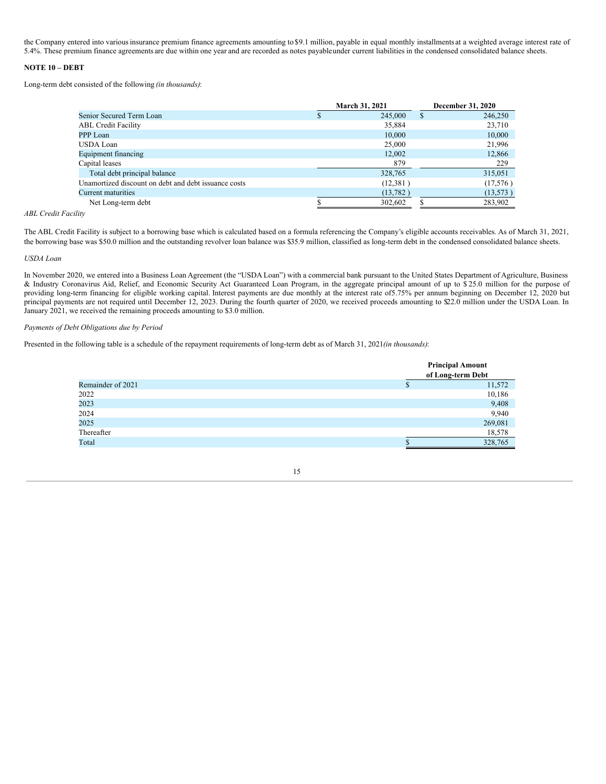the Company entered into variousinsurance premium finance agreements amounting to \$9.1 million, payable in equal monthly installments at a weighted average interest rate of 5.4%. These premium finance agreements are due within one year and are recorded as notes payableunder current liabilities in the condensed consolidated balance sheets.

# **NOTE 10 – DEBT**

Long-term debt consisted of the following *(in thousands)*:

|                                                      | <b>March 31, 2021</b> |   | December 31, 2020 |
|------------------------------------------------------|-----------------------|---|-------------------|
| Senior Secured Term Loan                             | 245,000               | S | 246,250           |
| <b>ABL Credit Facility</b>                           | 35,884                |   | 23,710            |
| PPP Loan                                             | 10,000                |   | 10,000            |
| USDA Loan                                            | 25,000                |   | 21,996            |
| Equipment financing                                  | 12,002                |   | 12,866            |
| Capital leases                                       | 879                   |   | 229               |
| Total debt principal balance                         | 328,765               |   | 315,051           |
| Unamortized discount on debt and debt issuance costs | (12,381)              |   | (17,576)          |
| Current maturities                                   | (13, 782)             |   | (13,573)          |
| Net Long-term debt                                   | 302,602               |   | 283,902           |

# *ABL Credit Facility*

The ABL Credit Facility is subject to a borrowing base which is calculated based on a formula referencing the Company's eligible accounts receivables. As of March 31, 2021, the borrowing base was \$50.0 million and the outstanding revolver loan balance was \$35.9 million, classified as long-term debt in the condensed consolidated balance sheets.

## *USDA Loan*

In November 2020, we entered into a Business Loan Agreement (the "USDA Loan") with a commercial bank pursuant to the United States Department of Agriculture, Business & Industry Coronavirus Aid, Relief, and Economic Security Act Guaranteed Loan Program, in the aggregate principal amount of up to \$ 25.0 million for the purpose of providing long-term financing for eligible working capital. Interest payments are due monthly at the interest rate of 5.75% per annum beginning on December 12, 2020 but principal payments are not required until December 12, 2023. During the fourth quarter of 2020, we received proceeds amounting to \$22.0 million under the USDA Loan. In January 2021, we received the remaining proceeds amounting to \$3.0 million.

# *Payments of Debt Obligations due by Period*

Presented in the following table is a schedule of the repayment requirements of long-term debt as of March 31, 2021*(in thousands)*:

|                   |   | <b>Principal Amount</b><br>of Long-term Debt |
|-------------------|---|----------------------------------------------|
| Remainder of 2021 | Φ | 11,572                                       |
| 2022              |   | 10,186                                       |
| 2023              |   | 9,408                                        |
| 2024              |   | 9,940                                        |
| 2025              |   | 269,081                                      |
| Thereafter        |   | 18,578                                       |
| Total             |   | 328,765                                      |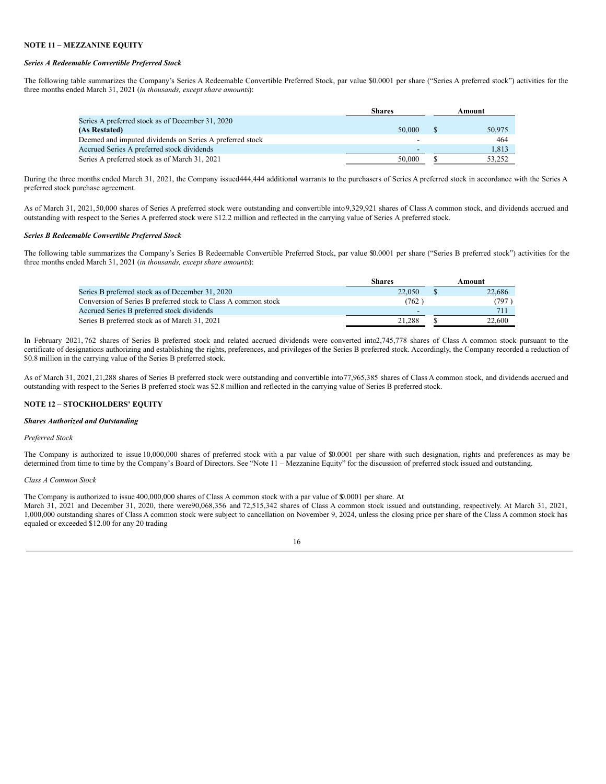# **NOTE 11 – MEZZANINE EQUITY**

#### *Series A Redeemable Convertible Preferred Stock*

The following table summarizes the Company's Series A Redeemable Convertible Preferred Stock, par value \$0.0001 per share ("Series A preferred stock") activities for the three months ended March 31, 2021 (*in thousands, except share amounts*):

|                                                          | <b>Shares</b> | Amount |
|----------------------------------------------------------|---------------|--------|
| Series A preferred stock as of December 31, 2020         |               |        |
| (As Restated)                                            | 50.000        | 50.975 |
| Deemed and imputed dividends on Series A preferred stock |               | 464    |
| Accrued Series A preferred stock dividends               |               | 1.813  |
| Series A preferred stock as of March 31, 2021            | 50,000        | 53.252 |

During the three months ended March 31, 2021, the Company issued444,444 additional warrants to the purchasers of Series A preferred stock in accordance with the Series A preferred stock purchase agreement.

As of March 31, 2021,50,000 shares of Series A preferred stock were outstanding and convertible into9,329,921 shares of Class A common stock, and dividends accrued and outstanding with respect to the Series A preferred stock were \$12.2 million and reflected in the carrying value of Series A preferred stock.

# *Series B Redeemable Convertible Preferred Stock*

The following table summarizes the Company's Series B Redeemable Convertible Preferred Stock, par value \$0.0001 per share ("Series B preferred stock") activities for the three months ended March 31, 2021 (*in thousands, except share amounts*):

|                                                                | <b>Shares</b> | Amount |
|----------------------------------------------------------------|---------------|--------|
| Series B preferred stock as of December 31, 2020               | 22,050        | 22.686 |
| Conversion of Series B preferred stock to Class A common stock | (762)         | (797   |
| Accrued Series B preferred stock dividends                     |               | 711    |
| Series B preferred stock as of March 31, 2021                  | 21.288        | 22,600 |

In February 2021, 762 shares of Series B preferred stock and related accrued dividends were converted into2,745,778 shares of Class A common stock pursuant to the certificate of designations authorizing and establishing the rights, preferences, and privileges of the Series B preferred stock. Accordingly, the Company recorded a reduction of \$0.8 million in the carrying value of the Series B preferred stock.

As of March 31, 2021,21,288 shares of Series B preferred stock were outstanding and convertible into77,965,385 shares of Class A common stock, and dividends accrued and outstanding with respect to the Series B preferred stock was \$2.8 million and reflected in the carrying value of Series B preferred stock.

# **NOTE 12 – STOCKHOLDERS' EQUITY**

#### *Shares Authorized and Outstanding*

#### *Preferred Stock*

The Company is authorized to issue 10,000,000 shares of preferred stock with a par value of \$0.0001 per share with such designation, rights and preferences as may be determined from time to time by the Company's Board of Directors. See "Note 11 – Mezzanine Equity" for the discussion of preferred stock issued and outstanding.

#### *Class A Common Stock*

The Company is authorized to issue 400,000,000 shares of Class A common stock with a par value of \$0.0001 per share. At

March 31, 2021 and December 31, 2020, there were90,068,356 and 72,515,342 shares of Class A common stock issued and outstanding, respectively. At March 31, 2021, 1,000,000 outstanding shares of Class A common stock were subject to cancellation on November 9, 2024, unless the closing price per share of the Class A common stock has equaled or exceeded \$12.00 for any 20 trading

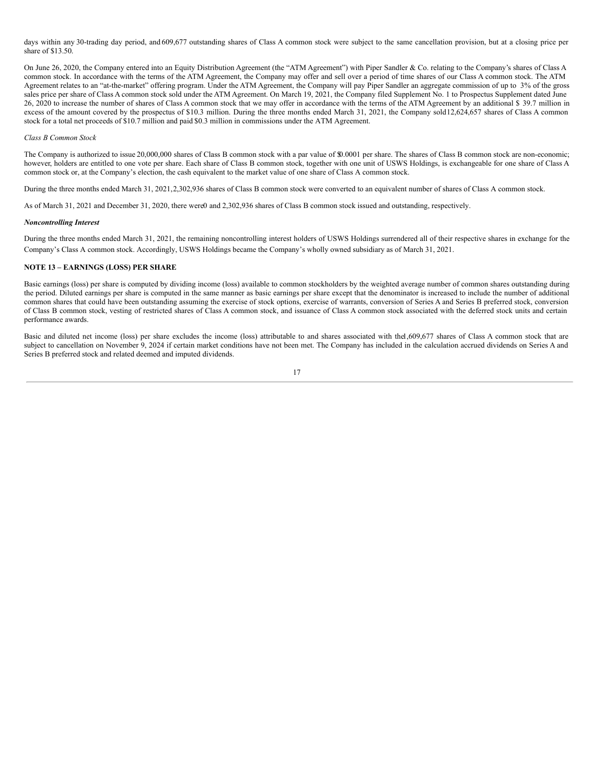days within any 30-trading day period, and 609,677 outstanding shares of Class A common stock were subject to the same cancellation provision, but at a closing price per share of \$13.50.

On June 26, 2020, the Company entered into an Equity Distribution Agreement (the "ATM Agreement") with Piper Sandler & Co. relating to the Company's shares of Class A common stock. In accordance with the terms of the ATM Agreement, the Company may offer and sell over a period of time shares of our Class A common stock. The ATM Agreement relates to an "at-the-market" offering program. Under the ATM Agreement, the Company will pay Piper Sandler an aggregate commission of up to 3% of the gross sales price per share of Class A common stock sold under the ATM Agreement. On March 19, 2021, the Company filed Supplement No. 1 to Prospectus Supplement dated June 26, 2020 to increase the number of shares of Class A common stock that we may offer in accordance with the terms of the ATM Agreement by an additional \$ 39.7 million in excess of the amount covered by the prospectus of \$10.3 million. During the three months ended March 31, 2021, the Company sold12,624,657 shares of Class A common stock for a total net proceeds of \$10.7 million and paid \$0.3 million in commissions under the ATM Agreement.

#### *Class B Common Stock*

The Company is authorized to issue 20,000,000 shares of Class B common stock with a par value of \$0.0001 per share. The shares of Class B common stock are non-economic; however, holders are entitled to one vote per share. Each share of Class B common stock, together with one unit of USWS Holdings, is exchangeable for one share of Class A common stock or, at the Company's election, the cash equivalent to the market value of one share of Class A common stock.

During the three months ended March 31, 2021,2,302,936 shares of Class B common stock were converted to an equivalent number of shares of Class A common stock.

As of March 31, 2021 and December 31, 2020, there were0 and 2,302,936 shares of Class B common stock issued and outstanding, respectively.

#### *Noncontrolling Interest*

During the three months ended March 31, 2021, the remaining noncontrolling interest holders of USWS Holdings surrendered all of their respective shares in exchange for the Company's Class A common stock. Accordingly, USWS Holdings became the Company's wholly owned subsidiary as of March 31, 2021.

#### **NOTE 13 – EARNINGS (LOSS) PER SHARE**

Basic earnings (loss) per share is computed by dividing income (loss) available to common stockholders by the weighted average number of common shares outstanding during the period. Diluted earnings per share is computed in the same manner as basic earnings per share except that the denominator is increased to include the number of additional common shares that could have been outstanding assuming the exercise of stock options, exercise of warrants, conversion of Series A and Series B preferred stock, conversion of Class B common stock, vesting of restricted shares of Class A common stock, and issuance of Class A common stock associated with the deferred stock units and certain performance awards.

Basic and diluted net income (loss) per share excludes the income (loss) attributable to and shares associated with the1,609,677 shares of Class A common stock that are subject to cancellation on November 9, 2024 if certain market conditions have not been met. The Company has included in the calculation accrued dividends on Series A and Series B preferred stock and related deemed and imputed dividends.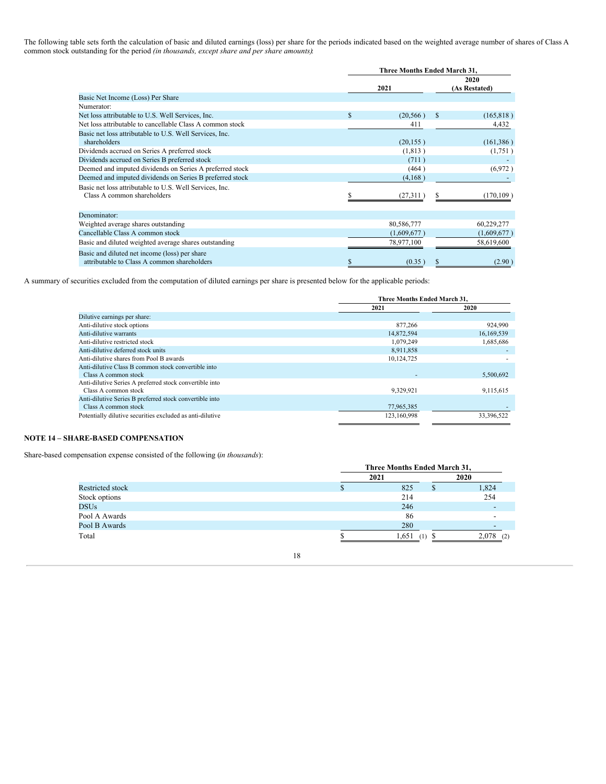The following table sets forth the calculation of basic and diluted earnings (loss) per share for the periods indicated based on the weighted average number of shares of Class A common stock outstanding for the period *(in thousands, except share and per share amounts)*:

|                                                                                              |    | Three Months Ended March 31, |   |                       |
|----------------------------------------------------------------------------------------------|----|------------------------------|---|-----------------------|
|                                                                                              |    | 2021                         |   | 2020<br>(As Restated) |
| Basic Net Income (Loss) Per Share                                                            |    |                              |   |                       |
| Numerator:                                                                                   |    |                              |   |                       |
| Net loss attributable to U.S. Well Services, Inc.                                            | S  | (20, 566)                    | S | (165, 818)            |
| Net loss attributable to cancellable Class A common stock                                    |    | 411                          |   | 4,432                 |
| Basic net loss attributable to U.S. Well Services, Inc.<br>shareholders                      |    | (20, 155)                    |   | (161,386)             |
| Dividends accrued on Series A preferred stock                                                |    | (1,813)                      |   | (1,751)               |
| Dividends accrued on Series B preferred stock                                                |    | (711)                        |   |                       |
| Deemed and imputed dividends on Series A preferred stock                                     |    | (464)                        |   | (6,972)               |
| Deemed and imputed dividends on Series B preferred stock                                     |    | (4,168)                      |   |                       |
| Basic net loss attributable to U.S. Well Services, Inc.                                      |    |                              |   |                       |
| Class A common shareholders                                                                  |    | (27,311)                     |   | (170, 109)            |
| Denominator:                                                                                 |    |                              |   |                       |
| Weighted average shares outstanding                                                          |    | 80,586,777                   |   | 60,229,277            |
| Cancellable Class A common stock                                                             |    | (1,609,677)                  |   | (1,609,677)           |
| Basic and diluted weighted average shares outstanding                                        |    | 78,977,100                   |   | 58,619,600            |
| Basic and diluted net income (loss) per share<br>attributable to Class A common shareholders | \$ | (0.35)                       | S | (2.90)                |

A summary of securities excluded from the computation of diluted earnings per share is presented below for the applicable periods:

|                                                           | Three Months Ended March 31, |            |
|-----------------------------------------------------------|------------------------------|------------|
|                                                           | 2021                         | 2020       |
| Dilutive earnings per share:                              |                              |            |
| Anti-dilutive stock options                               | 877,266                      | 924,990    |
| Anti-dilutive warrants                                    | 14,872,594                   | 16,169,539 |
| Anti-dilutive restricted stock                            | 1,079,249                    | 1,685,686  |
| Anti-dilutive deferred stock units                        | 8,911,858                    |            |
| Anti-dilutive shares from Pool B awards                   | 10,124,725                   |            |
| Anti-dilutive Class B common stock convertible into       |                              |            |
| Class A common stock                                      |                              | 5,500,692  |
| Anti-dilutive Series A preferred stock convertible into   |                              |            |
| Class A common stock                                      | 9,329,921                    | 9,115,615  |
| Anti-dilutive Series B preferred stock convertible into   |                              |            |
| Class A common stock                                      | 77,965,385                   |            |
| Potentially dilutive securities excluded as anti-dilutive | 123,160,998                  | 33.396.522 |

# **NOTE 14 – SHARE-BASED COMPENSATION**

Share-based compensation expense consisted of the following (*in thousands*):

|                  |      | Three Months Ended March 31, |              |  |  |
|------------------|------|------------------------------|--------------|--|--|
|                  | 2021 |                              | 2020         |  |  |
| Restricted stock |      | 825                          | 1,824        |  |  |
| Stock options    |      | 214                          | 254          |  |  |
| <b>DSUs</b>      |      | 246                          |              |  |  |
| Pool A Awards    |      | 86                           |              |  |  |
| Pool B Awards    |      | 280                          |              |  |  |
| Total            |      | 1,651<br>(1)                 | 2.078<br>(2) |  |  |
|                  |      |                              |              |  |  |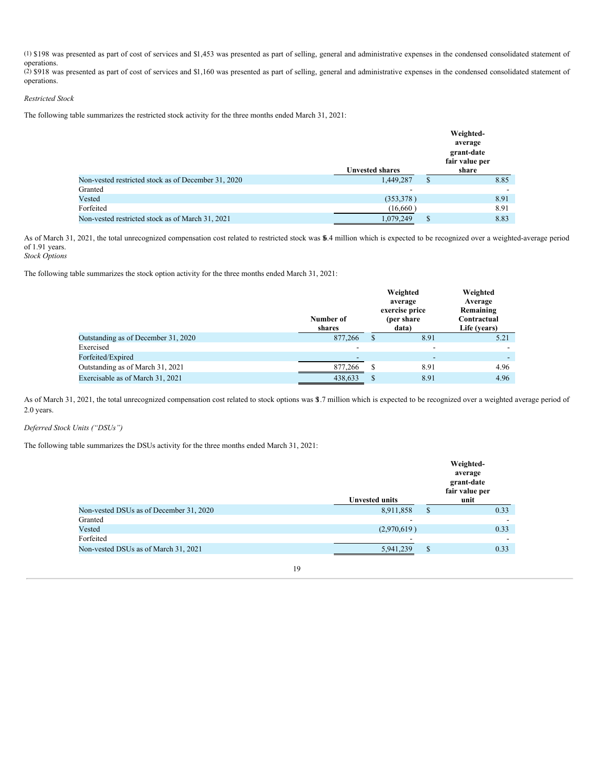(1) \$198 was presented as part of cost of services and \$1,453 was presented as part of selling, general and administrative expenses in the condensed consolidated statement of operations.

 $(2)$  \$918 was presented as part of cost of services and \$1,160 was presented as part of selling, general and administrative expenses in the condensed consolidated statement of operations.

## *Restricted Stock*

The following table summarizes the restricted stock activity for the three months ended March 31, 2021:

|                                                     |                        | Weighted-<br>average<br>grant-date<br>fair value per |
|-----------------------------------------------------|------------------------|------------------------------------------------------|
|                                                     | <b>Unvested shares</b> | share                                                |
| Non-vested restricted stock as of December 31, 2020 | 1,449,287              | \$<br>8.85                                           |
| Granted                                             |                        |                                                      |
| Vested                                              | (353,378)              | 8.91                                                 |
| Forfeited                                           | (16,660)               | 8.91                                                 |
| Non-vested restricted stock as of March 31, 2021    | 1,079,249              | \$<br>8.83                                           |

As of March 31, 2021, the total unrecognized compensation cost related to restricted stock was \$6.4 million which is expected to be recognized over a weighted-average period of 1.91 years. *Stock Options*

The following table summarizes the stock option activity for the three months ended March 31, 2021:

|                                     | Number of<br>shares |   | Weighted<br>average<br>exercise price<br>(per share)<br>data) | Weighted<br>Average<br>Remaining<br>Contractual<br>Life (years) |
|-------------------------------------|---------------------|---|---------------------------------------------------------------|-----------------------------------------------------------------|
| Outstanding as of December 31, 2020 | 877,266             |   | 8.91                                                          | 5.21                                                            |
| Exercised                           |                     |   | -                                                             |                                                                 |
| Forfeited/Expired                   |                     |   |                                                               | $\overline{\phantom{0}}$                                        |
| Outstanding as of March 31, 2021    | 877,266             | S | 8.91                                                          | 4.96                                                            |
| Exercisable as of March 31, 2021    | 438.633             |   | 8.91                                                          | 4.96                                                            |

As of March 31, 2021, the total unrecognized compensation cost related to stock options was \$1.7 million which is expected to be recognized over a weighted average period of 2.0 years.

# *Deferred Stock Units ("DSUs")*

The following table summarizes the DSUs activity for the three months ended March 31, 2021:

|                                         | <b>Unvested units</b>    |               | Weighted-<br>average<br>grant-date<br>fair value per<br>unit |
|-----------------------------------------|--------------------------|---------------|--------------------------------------------------------------|
| Non-vested DSUs as of December 31, 2020 | 8,911,858                | <sup>\$</sup> | 0.33                                                         |
| Granted                                 | $\overline{\phantom{a}}$ |               |                                                              |
| Vested                                  | (2,970,619)              |               | 0.33                                                         |
| Forfeited                               |                          |               |                                                              |
| Non-vested DSUs as of March 31, 2021    | 5,941,239                | \$            | 0.33                                                         |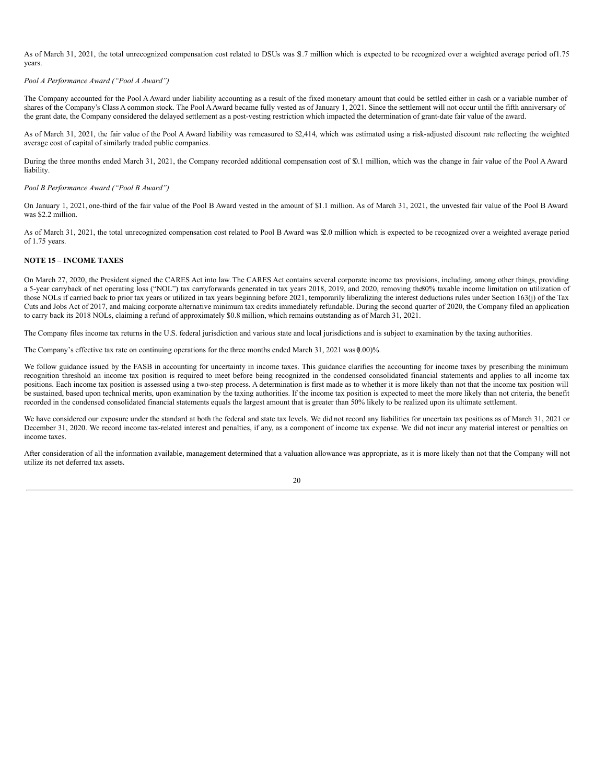As of March 31, 2021, the total unrecognized compensation cost related to DSUs was \$1.7 million which is expected to be recognized over a weighted average period of1.75 years.

# *Pool A Performance Award ("Pool A Award")*

The Company accounted for the Pool A Award under liability accounting as a result of the fixed monetary amount that could be settled either in cash or a variable number of shares of the Company's Class A common stock. The Pool A Award became fully vested as of January 1, 2021. Since the settlement will not occur until the fifth anniversary of the grant date, the Company considered the delayed settlement as a post-vesting restriction which impacted the determination of grant-date fair value of the award.

As of March 31, 2021, the fair value of the Pool A Award liability was remeasured to \$2,414, which was estimated using a risk-adjusted discount rate reflecting the weighted average cost of capital of similarly traded public companies.

During the three months ended March 31, 2021, the Company recorded additional compensation cost of \$0.1 million, which was the change in fair value of the Pool A Award liability.

#### *Pool B Performance Award ("Pool B Award")*

On January 1, 2021, one-third of the fair value of the Pool B Award vested in the amount of \$1.1 million. As of March 31, 2021, the unvested fair value of the Pool B Award was \$2.2 million.

As of March 31, 2021, the total unrecognized compensation cost related to Pool B Award was \$2.0 million which is expected to be recognized over a weighted average period of 1.75 years.

#### **NOTE 15 – INCOME TAXES**

On March 27, 2020, the President signed the CARES Act into law. The CARES Act contains several corporate income tax provisions, including, among other things, providing a 5-year carryback of net operating loss ("NOL") tax carryforwards generated in tax years 2018, 2019, and 2020, removing the80% taxable income limitation on utilization of those NOLs if carried back to prior tax years or utilized in tax years beginning before 2021, temporarily liberalizing the interest deductions rules under Section 163(j) of the Tax Cuts and Jobs Act of 2017, and making corporate alternative minimum tax credits immediately refundable. During the second quarter of 2020, the Company filed an application to carry back its 2018 NOLs, claiming a refund of approximately \$0.8 million, which remains outstanding as of March 31, 2021.

The Company files income tax returns in the U.S. federal jurisdiction and various state and local jurisdictions and is subject to examination by the taxing authorities.

The Company's effective tax rate on continuing operations for the three months ended March  $31, 2021$  was  $(0.00)\%$ .

We follow guidance issued by the FASB in accounting for uncertainty in income taxes. This guidance clarifies the accounting for income taxes by prescribing the minimum recognition threshold an income tax position is required to meet before being recognized in the condensed consolidated financial statements and applies to all income tax positions. Each income tax position is assessed using a two-step process. A determination is first made as to whether it is more likely than not that the income tax position will be sustained, based upon technical merits, upon examination by the taxing authorities. If the income tax position is expected to meet the more likely than not criteria, the benefit recorded in the condensed consolidated financial statements equals the largest amount that is greater than 50% likely to be realized upon its ultimate settlement.

We have considered our exposure under the standard at both the federal and state tax levels. We did not record any liabilities for uncertain tax positions as of March 31, 2021 or December 31, 2020. We record income tax-related interest and penalties, if any, as a component of income tax expense. We did not incur any material interest or penalties on income taxes.

After consideration of all the information available, management determined that a valuation allowance was appropriate, as it is more likely than not that the Company will not utilize its net deferred tax assets.

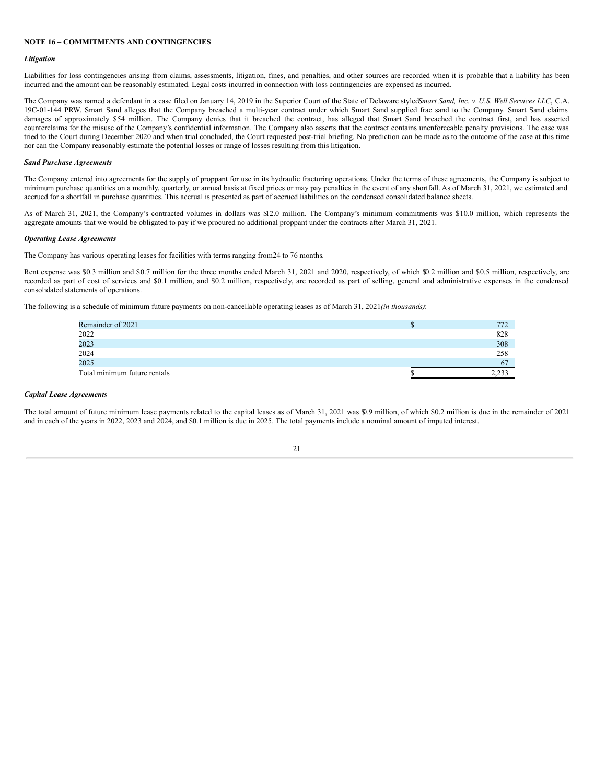#### **NOTE 16 – COMMITMENTS AND CONTINGENCIES**

#### *Litigation*

Liabilities for loss contingencies arising from claims, assessments, litigation, fines, and penalties, and other sources are recorded when it is probable that a liability has been incurred and the amount can be reasonably estimated. Legal costs incurred in connection with loss contingencies are expensed as incurred.

The Company was named a defendant in a case filed on January 14, 2019 in the Superior Court of the State of Delaware styledSmart Sand, Inc. v. U.S. Well Services LLC, C.A. 19C-01-144 PRW. Smart Sand alleges that the Company breached a multi-year contract under which Smart Sand supplied frac sand to the Company. Smart Sand claims damages of approximately \$54 million. The Company denies that it breached the contract, has alleged that Smart Sand breached the contract first, and has asserted counterclaims for the misuse of the Company's confidential information. The Company also asserts that the contract contains unenforceable penalty provisions. The case was tried to the Court during December 2020 and when trial concluded, the Court requested post-trial briefing. No prediction can be made as to the outcome of the case at this time nor can the Company reasonably estimate the potential losses or range of losses resulting from this litigation.

## *Sand Purchase Agreements*

The Company entered into agreements for the supply of proppant for use in its hydraulic fracturing operations. Under the terms of these agreements, the Company is subject to minimum purchase quantities on a monthly, quarterly, or annual basis at fixed prices or may pay penalties in the event of any shortfall. As of March 31, 2021, we estimated and accrued for a shortfall in purchase quantities. This accrual is presented as part of accrued liabilities on the condensed consolidated balance sheets.

As of March 31, 2021, the Company's contracted volumes in dollars was \$12.0 million. The Company's minimum commitments was \$10.0 million, which represents the aggregate amounts that we would be obligated to pay if we procured no additional proppant under the contracts after March 31, 2021.

#### *Operating Lease Agreements*

The Company has various operating leases for facilities with terms ranging from24 to 76 months.

Rent expense was \$0.3 million and \$0.7 million for the three months ended March 31, 2021 and 2020, respectively, of which \$0.2 million and \$0.5 million, respectively, are recorded as part of cost of services and \$0.1 million, and \$0.2 million, respectively, are recorded as part of selling, general and administrative expenses in the condensed consolidated statements of operations.

The following is a schedule of minimum future payments on non-cancellable operating leases as of March 31, 2021*(in thousands)*:

| Remainder of 2021            |       |
|------------------------------|-------|
| 2022                         | 828   |
| 2023                         | 308   |
| 2024                         | 258   |
| 2025                         | 67    |
| Total minimum future rentals | 2.233 |

#### *Capital Lease Agreements*

The total amount of future minimum lease payments related to the capital leases as of March 31, 2021 was \$0.9 million, of which \$0.2 million is due in the remainder of 2021 and in each of the years in 2022, 2023 and 2024, and \$0.1 million is due in 2025. The total payments include a nominal amount of imputed interest.

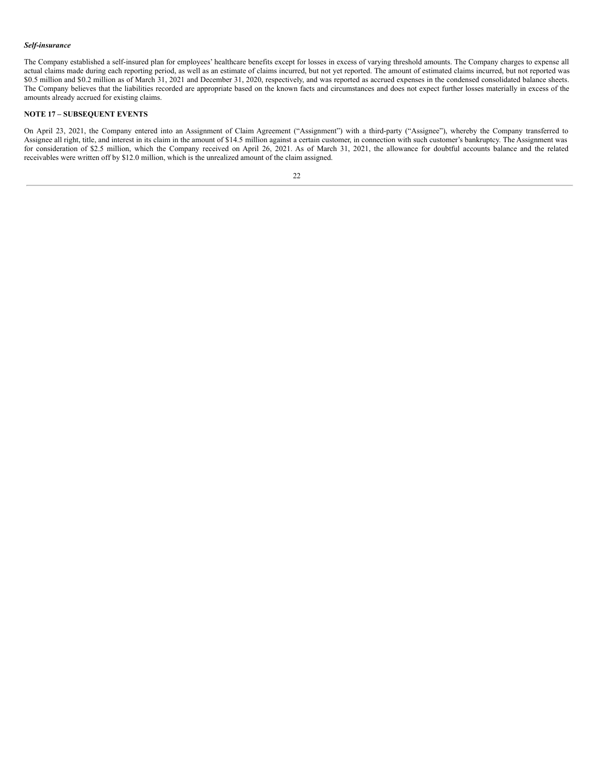#### *Self-insurance*

The Company established a self-insured plan for employees' healthcare benefits except for losses in excess of varying threshold amounts. The Company charges to expense all actual claims made during each reporting period, as well as an estimate of claims incurred, but not yet reported. The amount of estimated claims incurred, but not reported was \$0.5 million and \$0.2 million as of March 31, 2021 and December 31, 2020, respectively, and was reported as accrued expenses in the condensed consolidated balance sheets. The Company believes that the liabilities recorded are appropriate based on the known facts and circumstances and does not expect further losses materially in excess of the amounts already accrued for existing claims.

# **NOTE 17 – SUBSEQUENT EVENTS**

On April 23, 2021, the Company entered into an Assignment of Claim Agreement ("Assignment") with a third-party ("Assignee"), whereby the Company transferred to Assignee all right, title, and interest in its claim in the amount of \$14.5 million against a certain customer, in connection with such customer's bankruptcy. The Assignment was for consideration of \$2.5 million, which the Company received on April 26, 2021. As of March 31, 2021, the allowance for doubtful accounts balance and the related receivables were written off by \$12.0 million, which is the unrealized amount of the claim assigned.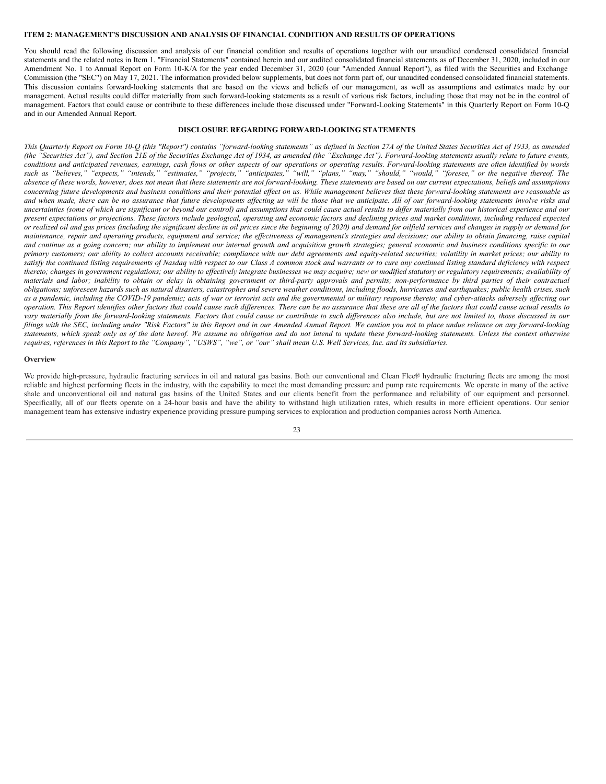#### <span id="page-23-0"></span>**ITEM 2: MANAGEMENT'S DISCUSSION AND ANALYSIS OF FINANCIAL CONDITION AND RESULTS OF OPERATIONS**

You should read the following discussion and analysis of our financial condition and results of operations together with our unaudited condensed consolidated financial statements and the related notes in Item 1. "Financial Statements" contained herein and our audited consolidated financial statements as of December 31, 2020, included in our Amendment No. 1 to Annual Report on Form 10-K/A for the year ended December 31, 2020 (our "Amended Annual Report"), as filed with the Securities and Exchange Commission (the "SEC") on May 17, 2021. The information provided below supplements, but does not form part of, our unaudited condensed consolidated financial statements. This discussion contains forward-looking statements that are based on the views and beliefs of our management, as well as assumptions and estimates made by our management. Actual results could differ materially from such forward-looking statements as a result of various risk factors, including those that may not be in the control of management. Factors that could cause or contribute to these differences include those discussed under "Forward-Looking Statements" in this Quarterly Report on Form 10-Q and in our Amended Annual Report.

#### **DISCLOSURE REGARDING FORWARD-LOOKING STATEMENTS**

This Quarterly Report on Form 10-Q (this "Report") contains "forward-looking statements" as defined in Section 27A of the United States Securities Act of 1933, as amended (the "Securities Act"), and Section 21E of the Securities Exchange Act of 1934, as amended (the "Exchange Act"). Forward-looking statements usually relate to future events, conditions and anticipated revenues, earnings, cash flows or other aspects of our operations or operating results. Forward-looking statements are often identified by words such as "believes," "expects," "intends," "estimates," "projects," "anticipates," "will," "plans," "may," "should," "would," "foresee," or the negative thereof. The absence of these words, however, does not mean that these statements are not forward-looking. These statements are based on our current expectations, beliefs and assumptions concerning future developments and business conditions and their potential effect on us. While management believes that these forward-looking statements are reasonable as and when made, there can be no assurance that future developments affecting us will be those that we anticipate. All of our forward-looking statements involve risks and uncertainties (some of which are significant or beyond our control) and assumptions that could cause actual results to differ materially from our historical experience and our present expectations or projections. These factors include geological, operating and economic factors and declining prices and market conditions, including reduced expected or realized oil and gas prices (including the significant decline in oil prices since the beginning of 2020) and demand for oilfield services and changes in supply or demand for maintenance, repair and operating products, equipment and service; the effectiveness of management's strategies and decisions; our ability to obtain financing, raise capital and continue as a going concern; our ability to implement our internal growth and acquisition growth strategies; general economic and business conditions specific to our primary customers; our ability to collect accounts receivable; compliance with our debt agreements and equity-related securities; volatility in market prices; our ability to satisfy the continued listing requirements of Nasdaq with respect to our Class A common stock and warrants or to cure any continued listing standard deficiency with respect thereto; changes in government regulations; our ability to effectively integrate businesses we may acquire; new or modified statutory or regulatory requirements; availability of materials and labor; inability to obtain or delay in obtaining government or third-party approvals and permits; non-performance by third parties of their contractual obligations; unforeseen hazards such as natural disasters, catastrophes and severe weather conditions, including floods, hurricanes and earthquakes; public health crises, such as a pandemic, including the COVID-19 pandemic; acts of war or terrorist acts and the governmental or military response thereto; and cyber-attacks adversely affecting our operation. This Report identifies other factors that could cause such differences. There can be no assurance that these are all of the factors that could cause actual results to vary materially from the forward-looking statements. Factors that could cause or contribute to such differences also include, but are not limited to, those discussed in our filings with the SEC, including under "Risk Factors" in this Report and in our Amended Annual Report. We caution you not to place undue reliance on any forward-looking statements, which speak only as of the date hereof. We assume no obligation and do not intend to update these forward-looking statements. Unless the context otherwise requires, references in this Report to the "Company", "USWS", "we", or "our" shall mean U.S. Well Services, Inc. and its subsidiaries.

#### **Overview**

We provide high-pressure, hydraulic fracturing services in oil and natural gas basins. Both our conventional and Clean Flee® hydraulic fracturing fleets are among the most reliable and highest performing fleets in the industry, with the capability to meet the most demanding pressure and pump rate requirements. We operate in many of the active shale and unconventional oil and natural gas basins of the United States and our clients benefit from the performance and reliability of our equipment and personnel. Specifically, all of our fleets operate on a 24-hour basis and have the ability to withstand high utilization rates, which results in more efficient operations. Our senior management team has extensive industry experience providing pressure pumping services to exploration and production companies across North America.

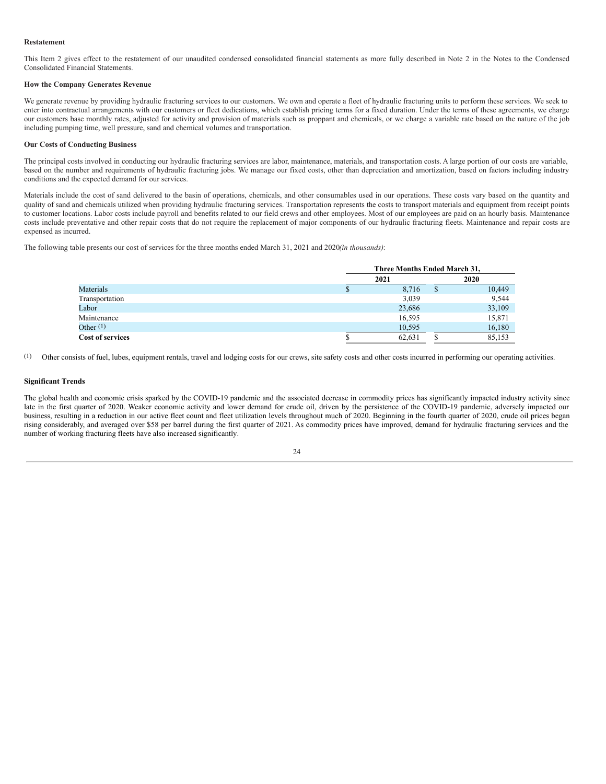## **Restatement**

This Item 2 gives effect to the restatement of our unaudited condensed consolidated financial statements as more fully described in Note 2 in the Notes to the Condensed Consolidated Financial Statements.

#### **How the Company Generates Revenue**

We generate revenue by providing hydraulic fracturing services to our customers. We own and operate a fleet of hydraulic fracturing units to perform these services. We seek to enter into contractual arrangements with our customers or fleet dedications, which establish pricing terms for a fixed duration. Under the terms of these agreements, we charge our customers base monthly rates, adjusted for activity and provision of materials such as proppant and chemicals, or we charge a variable rate based on the nature of the job including pumping time, well pressure, sand and chemical volumes and transportation.

# **Our Costs of Conducting Business**

The principal costs involved in conducting our hydraulic fracturing services are labor, maintenance, materials, and transportation costs. A large portion of our costs are variable, based on the number and requirements of hydraulic fracturing jobs. We manage our fixed costs, other than depreciation and amortization, based on factors including industry conditions and the expected demand for our services.

Materials include the cost of sand delivered to the basin of operations, chemicals, and other consumables used in our operations. These costs vary based on the quantity and quality of sand and chemicals utilized when providing hydraulic fracturing services. Transportation represents the costs to transport materials and equipment from receipt points to customer locations. Labor costs include payroll and benefits related to our field crews and other employees. Most of our employees are paid on an hourly basis. Maintenance costs include preventative and other repair costs that do not require the replacement of major components of our hydraulic fracturing fleets. Maintenance and repair costs are expensed as incurred.

The following table presents our cost of services for the three months ended March 31, 2021 and 2020*(in thousands)*:

|                         | Three Months Ended March 31. |        |   |        |
|-------------------------|------------------------------|--------|---|--------|
|                         |                              | 2021   |   | 2020   |
| Materials               | D                            | 8,716  | S | 10,449 |
| Transportation          |                              | 3,039  |   | 9,544  |
| Labor                   |                              | 23,686 |   | 33,109 |
| Maintenance             |                              | 16,595 |   | 15,871 |
| Other $(1)$             |                              | 10.595 |   | 16,180 |
| <b>Cost of services</b> |                              | 62,631 |   | 85,153 |

(1) Other consists of fuel, lubes, equipment rentals, travel and lodging costs for our crews, site safety costs and other costs incurred in performing our operating activities.

#### **Significant Trends**

The global health and economic crisis sparked by the COVID-19 pandemic and the associated decrease in commodity prices has significantly impacted industry activity since late in the first quarter of 2020. Weaker economic activity and lower demand for crude oil, driven by the persistence of the COVID-19 pandemic, adversely impacted our business, resulting in a reduction in our active fleet count and fleet utilization levels throughout much of 2020. Beginning in the fourth quarter of 2020, crude oil prices began rising considerably, and averaged over \$58 per barrel during the first quarter of 2021. As commodity prices have improved, demand for hydraulic fracturing services and the number of working fracturing fleets have also increased significantly.

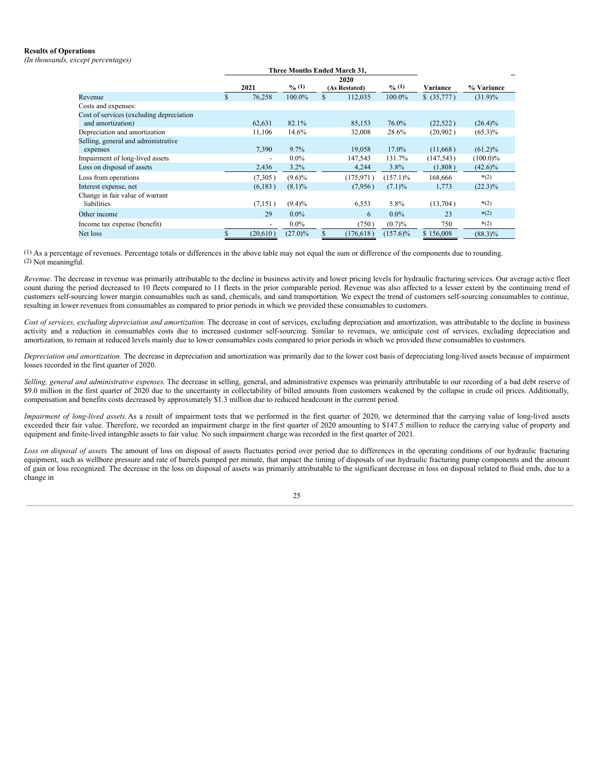#### **Results of Operations**

*(In thousands, except percentages)*

|                                                               | Three Months Ended March 31, |                          |                   |    |                       |                   |             |             |
|---------------------------------------------------------------|------------------------------|--------------------------|-------------------|----|-----------------------|-------------------|-------------|-------------|
|                                                               |                              | 2021                     | $\frac{9}{6}$ (1) |    | 2020<br>(As Restated) | $\frac{9}{6}$ (1) | Variance    | % Variance  |
| Revenue                                                       | \$                           | 76,258                   | 100.0%            | \$ | 112,035               | 100.0%            | \$ (35,777) | $(31.9)\%$  |
| Costs and expenses:                                           |                              |                          |                   |    |                       |                   |             |             |
| Cost of services (excluding depreciation<br>and amortization) |                              | 62,631                   | 82.1%             |    | 85,153                | 76.0%             | (22, 522)   | $(26.4)\%$  |
| Depreciation and amortization                                 |                              | 11,106                   | 14.6%             |    | 32,008                | 28.6%             | (20,902)    | $(65.3)\%$  |
| Selling, general and administrative<br>expenses               |                              | 7,390                    | 9.7%              |    | 19.058                | 17.0%             | (11,668)    | $(61.2)\%$  |
| Impairment of long-lived assets                               |                              | $\overline{\phantom{a}}$ | $0.0\%$           |    | 147,543               | 131.7%            | (147, 543)  | $(100.0)\%$ |
| Loss on disposal of assets                                    |                              | 2,436                    | $3.2\%$           |    | 4,244                 | $3.8\%$           | (1,808)     | $(42.6)\%$  |
| Loss from operations                                          |                              | (7,305)                  | $(9.6)\%$         |    | (175, 971)            | $(157.1)\%$       | 168,666     | $*(2)$      |
| Interest expense, net                                         |                              | (6, 183)                 | $(8.1)\%$         |    | (7,956)               | $(7.1)\%$         | 1,773       | $(22.3)\%$  |
| Change in fair value of warrant<br>liabilities                |                              | (7,151)                  | $(9.4)\%$         |    | 6,553                 | 5.8%              | (13,704)    | $*(2)$      |
| Other income                                                  |                              | 29                       | $0.0\%$           |    | 6                     | $0.0\%$           | 23          | $*(2)$      |
| Income tax expense (benefit)                                  |                              | $\overline{\phantom{0}}$ | $0.0\%$           |    | (750)                 | (0.7)%            | 750         | $*(2)$      |
| Net loss                                                      | S                            | (20,610)                 | $(27.0)\%$        | \$ | (176, 618)            | $(157.6)\%$       | \$156,008   | $(88.3)\%$  |

(1) As a percentage of revenues. Percentage totals or differences in the above table may not equal the sum or difference of the components due to rounding. (2) Not meaningful.

*Revenue*. The decrease in revenue was primarily attributable to the decline in business activity and lower pricing levels for hydraulic fracturing services. Our average active fleet count during the period decreased to 10 fleets compared to 11 fleets in the prior comparable period. Revenue was also affected to a lesser extent by the continuing trend of customers self-sourcing lower margin consumables such as sand, chemicals, and sand transportation. We expect the trend of customers self-sourcing consumables to continue, resulting in lower revenues from consumables as compared to prior periods in which we provided these consumables to customers.

Cost of services, excluding depreciation and amortization. The decrease in cost of services, excluding depreciation and amortization, was attributable to the decline in business activity and a reduction in consumables costs due to increased customer self-sourcing. Similar to revenues, we anticipate cost of services, excluding depreciation and amortization, to remain at reduced levels mainly due to lower consumables costs compared to prior periods in which we provided these consumables to customers.

*Depreciation and amortization.* The decrease in depreciation and amortization was primarily due to the lower cost basis of depreciating long-lived assets because of impairment losses recorded in the first quarter of 2020.

*Selling, general and administrative expenses*. The decrease in selling, general, and administrative expenses was primarily attributable to our recording of a bad debt reserve of \$9.0 million in the first quarter of 2020 due to the uncertainty in collectability of billed amounts from customers weakened by the collapse in crude oil prices. Additionally, compensation and benefits costs decreased by approximately \$1.3 million due to reduced headcount in the current period.

*Impairment of long-lived assets.* As a result of impairment tests that we performed in the first quarter of 2020, we determined that the carrying value of long-lived assets exceeded their fair value. Therefore, we recorded an impairment charge in the first quarter of 2020 amounting to \$147.5 million to reduce the carrying value of property and equipment and finite-lived intangible assets to fair value. No such impairment charge was recorded in the first quarter of 2021.

Loss on disposal of assets. The amount of loss on disposal of assets fluctuates period over period due to differences in the operating conditions of our hydraulic fracturing equipment, such as wellbore pressure and rate of barrels pumped per minute, that impact the timing of disposals of our hydraulic fracturing pump components and the amount of gain or loss recognized. The decrease in the loss on disposal of assets was primarily attributable to the significant decrease in loss on disposal related to fluid ends, due to a change in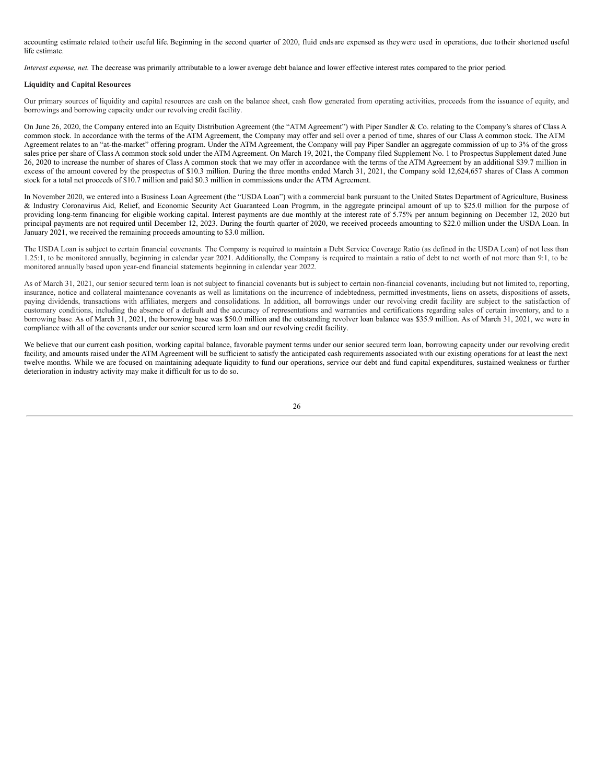accounting estimate related totheir useful life. Beginning in the second quarter of 2020, fluid ends are expensed as theywere used in operations, due totheir shortened useful life estimate.

*Interest expense, net*. The decrease was primarily attributable to a lower average debt balance and lower effective interest rates compared to the prior period.

#### **Liquidity and Capital Resources**

Our primary sources of liquidity and capital resources are cash on the balance sheet, cash flow generated from operating activities, proceeds from the issuance of equity, and borrowings and borrowing capacity under our revolving credit facility.

On June 26, 2020, the Company entered into an Equity Distribution Agreement (the "ATM Agreement") with Piper Sandler & Co. relating to the Company's shares of Class A common stock. In accordance with the terms of the ATM Agreement, the Company may offer and sell over a period of time, shares of our Class A common stock. The ATM Agreement relates to an "at-the-market" offering program. Under the ATM Agreement, the Company will pay Piper Sandler an aggregate commission of up to 3% of the gross sales price per share of Class A common stock sold under the ATM Agreement. On March 19, 2021, the Company filed Supplement No. 1 to Prospectus Supplement dated June 26, 2020 to increase the number of shares of Class A common stock that we may offer in accordance with the terms of the ATM Agreement by an additional \$39.7 million in excess of the amount covered by the prospectus of \$10.3 million. During the three months ended March 31, 2021, the Company sold 12,624,657 shares of Class A common stock for a total net proceeds of \$10.7 million and paid \$0.3 million in commissions under the ATM Agreement.

In November 2020, we entered into a Business Loan Agreement (the "USDA Loan") with a commercial bank pursuant to the United States Department of Agriculture, Business & Industry Coronavirus Aid, Relief, and Economic Security Act Guaranteed Loan Program, in the aggregate principal amount of up to \$25.0 million for the purpose of providing long-term financing for eligible working capital. Interest payments are due monthly at the interest rate of 5.75% per annum beginning on December 12, 2020 but principal payments are not required until December 12, 2023. During the fourth quarter of 2020, we received proceeds amounting to \$22.0 million under the USDA Loan. In January 2021, we received the remaining proceeds amounting to \$3.0 million.

The USDA Loan is subject to certain financial covenants. The Company is required to maintain a Debt Service Coverage Ratio (as defined in the USDA Loan) of not less than 1.25:1, to be monitored annually, beginning in calendar year 2021. Additionally, the Company is required to maintain a ratio of debt to net worth of not more than 9:1, to be monitored annually based upon year-end financial statements beginning in calendar year 2022.

As of March 31, 2021, our senior secured term loan is not subject to financial covenants but is subject to certain non-financial covenants, including but not limited to, reporting, insurance, notice and collateral maintenance covenants as well as limitations on the incurrence of indebtedness, permitted investments, liens on assets, dispositions of assets, paying dividends, transactions with affiliates, mergers and consolidations. In addition, all borrowings under our revolving credit facility are subject to the satisfaction of customary conditions, including the absence of a default and the accuracy of representations and warranties and certifications regarding sales of certain inventory, and to a borrowing base. As of March 31, 2021, the borrowing base was \$50.0 million and the outstanding revolver loan balance was \$35.9 million. As of March 31, 2021, we were in compliance with all of the covenants under our senior secured term loan and our revolving credit facility.

We believe that our current cash position, working capital balance, favorable payment terms under our senior secured term loan, borrowing capacity under our revolving credit facility, and amounts raised under the ATM Agreement will be sufficient to satisfy the anticipated cash requirements associated with our existing operations for at least the next twelve months. While we are focused on maintaining adequate liquidity to fund our operations, service our debt and fund capital expenditures, sustained weakness or further deterioration in industry activity may make it difficult for us to do so.

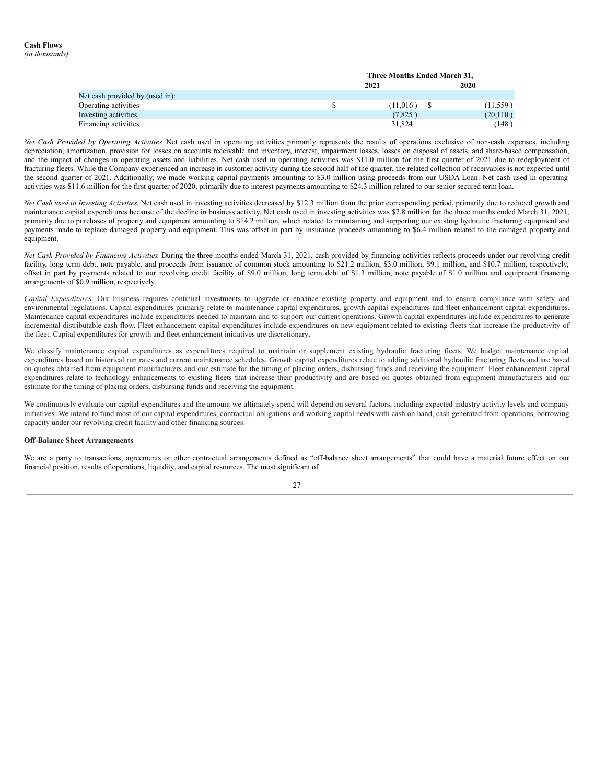|                                 | Three Months Ended March 31. |     |           |  |
|---------------------------------|------------------------------|-----|-----------|--|
|                                 | 2021                         |     | 2020      |  |
| Net cash provided by (used in): |                              |     |           |  |
| Operating activities            | (11.016)                     | - S | (11, 559) |  |
| Investing activities            | (7,825)                      |     | (20, 110) |  |
| Financing activities            | 31,824                       |     | 〔148〕     |  |

*Net Cash Provided by Operating Activities*. Net cash used in operating activities primarily represents the results of operations exclusive of non-cash expenses, including depreciation, amortization, provision for losses on accounts receivable and inventory, interest, impairment losses, losses on disposal of assets, and share-based compensation, and the impact of changes in operating assets and liabilities. Net cash used in operating activities was \$11.0 million for the first quarter of 2021 due to redeployment of fracturing fleets. While the Company experienced an increase in customer activity during the second half of the quarter, the related collection of receivables is not expected until the second quarter of 2021. Additionally, we made working capital payments amounting to \$3.0 million using proceeds from our USDA Loan. Net cash used in operating activities was \$11.6 million for the first quarter of 2020, primarily due to interest payments amounting to \$24.3 million related to our senior secured term loan.

*Net Cash used in Investing Activities*. Net cash used in investing activities decreased by \$12.3 million from the prior corresponding period, primarily due to reduced growth and maintenance capital expenditures because of the decline in business activity. Net cash used in investing activities was \$7.8 million for the three months ended March 31, 2021, primarily due to purchases of property and equipment amounting to \$14.2 million, which related to maintaining and supporting our existing hydraulic fracturing equipment and payments made to replace damaged property and equipment. This was offset in part by insurance proceeds amounting to \$6.4 million related to the damaged property and equipment.

*Net Cash Provided by Financing Activities*. During the three months ended March 31, 2021, cash provided by financing activities reflects proceeds under our revolving credit facility, long term debt, note payable, and proceeds from issuance of common stock amounting to \$21.2 million, \$3.0 million, \$9.1 million, and \$10.7 million, respectively, offset in part by payments related to our revolving credit facility of \$9.0 million, long term debt of \$1.3 million, note payable of \$1.0 million and equipment financing arrangements of \$0.9 million, respectively.

*Capital Expenditures*. Our business requires continual investments to upgrade or enhance existing property and equipment and to ensure compliance with safety and environmental regulations. Capital expenditures primarily relate to maintenance capital expenditures, growth capital expenditures and fleet enhancement capital expenditures. Maintenance capital expenditures include expenditures needed to maintain and to support our current operations. Growth capital expenditures include expenditures to generate incremental distributable cash flow. Fleet enhancement capital expenditures include expenditures on new equipment related to existing fleets that increase the productivity of the fleet. Capital expenditures for growth and fleet enhancement initiatives are discretionary.

We classify maintenance capital expenditures as expenditures required to maintain or supplement existing hydraulic fracturing fleets. We budget maintenance capital expenditures based on historical run rates and current maintenance schedules. Growth capital expenditures relate to adding additional hydraulic fracturing fleets and are based on quotes obtained from equipment manufacturers and our estimate for the timing of placing orders, disbursing funds and receiving the equipment. Fleet enhancement capital expenditures relate to technology enhancements to existing fleets that increase their productivity and are based on quotes obtained from equipment manufacturers and our estimate for the timing of placing orders, disbursing funds and receiving the equipment.

We continuously evaluate our capital expenditures and the amount we ultimately spend will depend on several factors, including expected industry activity levels and company initiatives. We intend to fund most of our capital expenditures, contractual obligations and working capital needs with cash on hand, cash generated from operations, borrowing capacity under our revolving credit facility and other financing sources.

#### **Off-Balance Sheet Arrangements**

We are a party to transactions, agreements or other contractual arrangements defined as "off-balance sheet arrangements" that could have a material future effect on our financial position, results of operations, liquidity, and capital resources. The most significant of

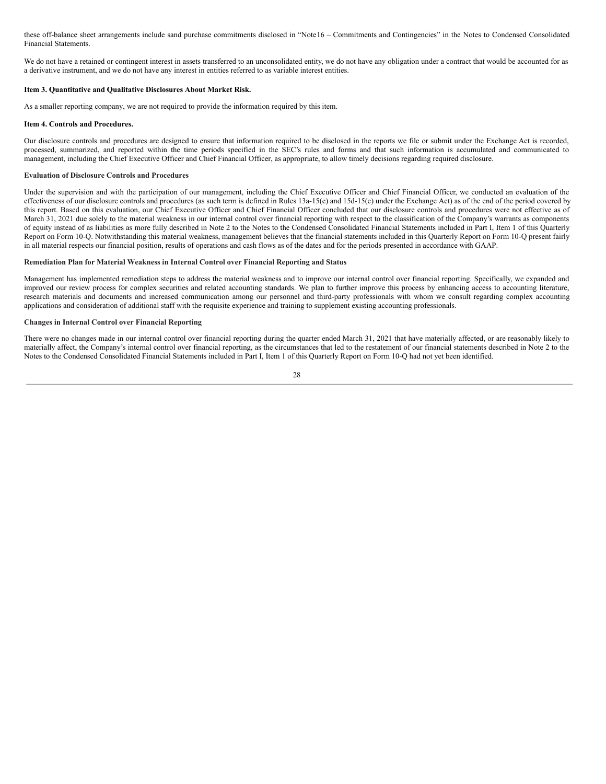these off-balance sheet arrangements include sand purchase commitments disclosed in "Note16 – Commitments and Contingencies" in the Notes to Condensed Consolidated Financial Statements.

We do not have a retained or contingent interest in assets transferred to an unconsolidated entity, we do not have any obligation under a contract that would be accounted for as a derivative instrument, and we do not have any interest in entities referred to as variable interest entities.

#### <span id="page-28-0"></span>**Item 3. Quantitative and Qualitative Disclosures About Market Risk.**

As a smaller reporting company, we are not required to provide the information required by this item.

#### <span id="page-28-1"></span>**Item 4. Controls and Procedures.**

Our disclosure controls and procedures are designed to ensure that information required to be disclosed in the reports we file or submit under the Exchange Act is recorded, processed, summarized, and reported within the time periods specified in the SEC's rules and forms and that such information is accumulated and communicated to management, including the Chief Executive Officer and Chief Financial Officer, as appropriate, to allow timely decisions regarding required disclosure.

#### **Evaluation of Disclosure Controls and Procedures**

Under the supervision and with the participation of our management, including the Chief Executive Officer and Chief Financial Officer, we conducted an evaluation of the effectiveness of our disclosure controls and procedures (as such term is defined in Rules 13a-15(e) and 15d-15(e) under the Exchange Act) as of the end of the period covered by this report. Based on this evaluation, our Chief Executive Officer and Chief Financial Officer concluded that our disclosure controls and procedures were not effective as of March 31, 2021 due solely to the material weakness in our internal control over financial reporting with respect to the classification of the Company's warrants as components of equity instead of as liabilities as more fully described in Note 2 to the Notes to the Condensed Consolidated Financial Statements included in Part I, Item 1 of this Quarterly Report on Form 10-Q. Notwithstanding this material weakness, management believes that the financial statements included in this Quarterly Report on Form 10-Q present fairly in all material respects our financial position, results of operations and cash flows as of the dates and for the periods presented in accordance with GAAP.

#### **Remediation Plan for Material Weakness in Internal Control over Financial Reporting and Status**

Management has implemented remediation steps to address the material weakness and to improve our internal control over financial reporting. Specifically, we expanded and improved our review process for complex securities and related accounting standards. We plan to further improve this process by enhancing access to accounting literature, research materials and documents and increased communication among our personnel and third-party professionals with whom we consult regarding complex accounting applications and consideration of additional staff with the requisite experience and training to supplement existing accounting professionals.

# **Changes in Internal Control over Financial Reporting**

There were no changes made in our internal control over financial reporting during the quarter ended March 31, 2021 that have materially affected, or are reasonably likely to materially affect, the Company's internal control over financial reporting, as the circumstances that led to the restatement of our financial statements described in Note 2 to the Notes to the Condensed Consolidated Financial Statements included in Part I, Item 1 of this Quarterly Report on Form 10-Q had not yet been identified.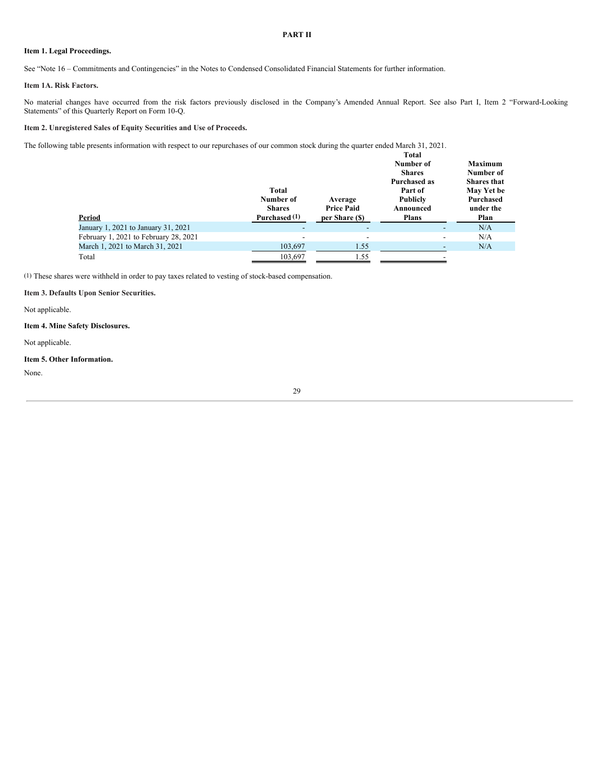# **PART II**

# <span id="page-29-1"></span><span id="page-29-0"></span>**Item 1. Legal Proceedings.**

See "Note 16 – Commitments and Contingencies" in the Notes to Condensed Consolidated Financial Statements for further information.

## <span id="page-29-2"></span>**Item 1A. Risk Factors.**

No material changes have occurred from the risk factors previously disclosed in the Company's Amended Annual Report. See also Part I, Item 2 "Forward-Looking Statements" of this Quarterly Report on Form 10-Q.

#### <span id="page-29-3"></span>**Item 2. Unregistered Sales of Equity Securities and Use of Proceeds.**

The following table presents information with respect to our repurchases of our common stock during the quarter ended March 31, 2021.

| Period                                | <b>Total</b><br>Number of<br><b>Shares</b><br>Purchased (1) | Average<br><b>Price Paid</b><br>per Share (\$) | <b>Total</b><br>Number of<br><b>Shares</b><br><b>Purchased as</b><br>Part of<br><b>Publicly</b><br>Announced<br><b>Plans</b> | <b>Maximum</b><br>Number of<br><b>Shares that</b><br>May Yet be<br>Purchased<br>under the<br>Plan |
|---------------------------------------|-------------------------------------------------------------|------------------------------------------------|------------------------------------------------------------------------------------------------------------------------------|---------------------------------------------------------------------------------------------------|
| January 1, 2021 to January 31, 2021   |                                                             | $\overline{\phantom{a}}$                       | $\overline{\phantom{a}}$                                                                                                     | N/A                                                                                               |
| February 1, 2021 to February 28, 2021 |                                                             | $\overline{\phantom{a}}$                       | $\overline{\phantom{0}}$                                                                                                     | N/A                                                                                               |
| March 1, 2021 to March 31, 2021       | 103,697                                                     | 1.55                                           |                                                                                                                              | N/A                                                                                               |
| Total                                 | 103,697                                                     | 1.55                                           |                                                                                                                              |                                                                                                   |

(1) These shares were withheld in order to pay taxes related to vesting of stock-based compensation.

# <span id="page-29-4"></span>**Item 3. Defaults Upon Senior Securities.**

Not applicable.

# <span id="page-29-5"></span>**Item 4. Mine Safety Disclosures.**

Not applicable.

# <span id="page-29-6"></span>**Item 5. Other Information.**

None.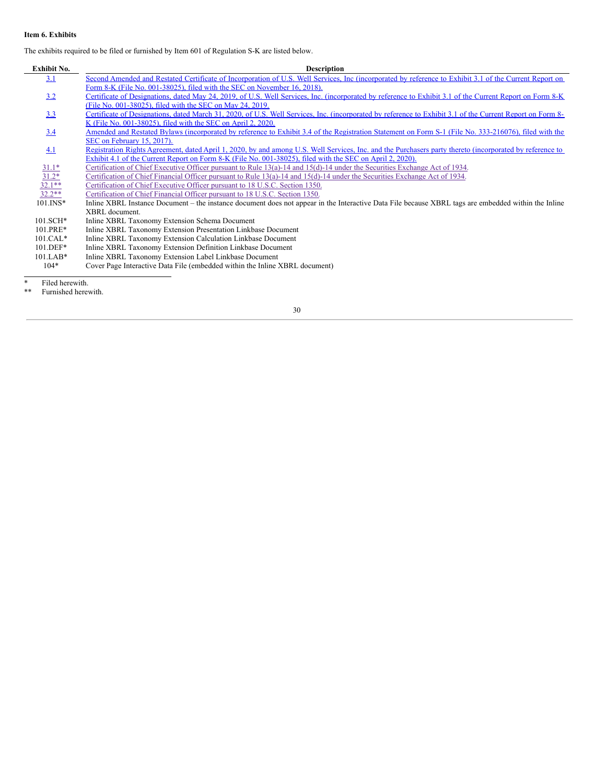# <span id="page-30-0"></span>**Item 6. Exhibits**

The exhibits required to be filed or furnished by Item 601 of Regulation S-K are listed below.

| Exhibit No.  | <b>Description</b>                                                                                                                                        |
|--------------|-----------------------------------------------------------------------------------------------------------------------------------------------------------|
| <u>3.1</u>   | Second Amended and Restated Certificate of Incorporation of U.S. Well Services, Inc (incorporated by reference to Exhibit 3.1 of the Current Report on    |
|              | Form 8-K (File No. 001-38025), filed with the SEC on November 16, 2018).                                                                                  |
| 3.2          | Certificate of Designations, dated May 24, 2019, of U.S. Well Services, Inc. (incorporated by reference to Exhibit 3.1 of the Current Report on Form 8-K  |
|              | (File No. 001-38025), filed with the SEC on May 24, 2019.                                                                                                 |
| 3.3          | Certificate of Designations, dated March 31, 2020, of U.S. Well Services, Inc. (incorporated by reference to Exhibit 3.1 of the Current Report on Form 8- |
|              | K (File No. 001-38025), filed with the SEC on April 2, 2020.                                                                                              |
| 3.4          | Amended and Restated Bylaws (incorporated by reference to Exhibit 3.4 of the Registration Statement on Form S-1 (File No. 333-216076), filed with the     |
|              | SEC on February 15, 2017).                                                                                                                                |
| 4.1          | Registration Rights Agreement, dated April 1, 2020, by and among U.S. Well Services, Inc. and the Purchasers party thereto (incorporated by reference to  |
|              | Exhibit 4.1 of the Current Report on Form 8-K (File No. 001-38025), filed with the SEC on April 2, 2020).                                                 |
| $31.1*$      | Certification of Chief Executive Officer pursuant to Rule 13(a)-14 and 15(d)-14 under the Securities Exchange Act of 1934.                                |
| $31.2*$      | Certification of Chief Financial Officer pursuant to Rule 13(a)-14 and 15(d)-14 under the Securities Exchange Act of 1934.                                |
| $32.1**$     | Certification of Chief Executive Officer pursuant to 18 U.S.C. Section 1350.                                                                              |
| $32.2**$     | Certification of Chief Financial Officer pursuant to 18 U.S.C. Section 1350.                                                                              |
| $101$ . INS* | Inline XBRL Instance Document – the instance document does not appear in the Interactive Data File because XBRL tags are embedded within the Inline       |
|              | XBRL document.                                                                                                                                            |
| $101.SCH*$   | Inline XBRL Taxonomy Extension Schema Document                                                                                                            |
| 101.PRE*     | Inline XBRL Taxonomy Extension Presentation Linkbase Document                                                                                             |
| $101.CAL*$   | Inline XBRL Taxonomy Extension Calculation Linkbase Document                                                                                              |
| $101.DEF*$   | Inline XBRL Taxonomy Extension Definition Linkbase Document                                                                                               |
| $101.LAB*$   | Inline XBRL Taxonomy Extension Label Linkbase Document                                                                                                    |
| $104*$       | Cover Page Interactive Data File (embedded within the Inline XBRL document)                                                                               |

\* Filed herewith.<br>\*\* Furnished herewith.

Furnished herewith.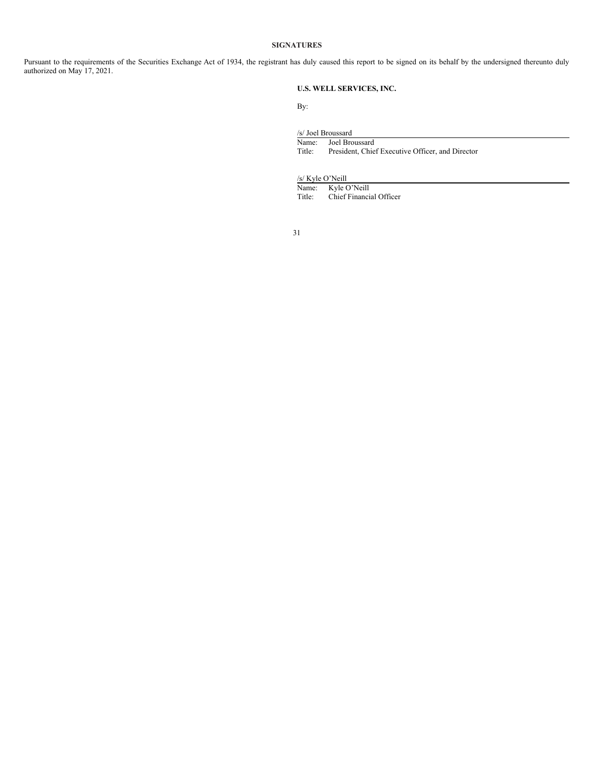# **SIGNATURES**

<span id="page-31-0"></span>Pursuant to the requirements of the Securities Exchange Act of 1934, the registrant has duly caused this report to be signed on its behalf by the undersigned thereunto duly authorized on May 17, 2021.

# **U.S. WELL SERVICES, INC.**

By:

| /s/ Joel Broussard |                                                  |
|--------------------|--------------------------------------------------|
|                    | Name: Joel Broussard                             |
| Title:             | President, Chief Executive Officer, and Director |

/s/ Kyle O'Neill

Name: Kyle O'Neill Title: Chief Financial Officer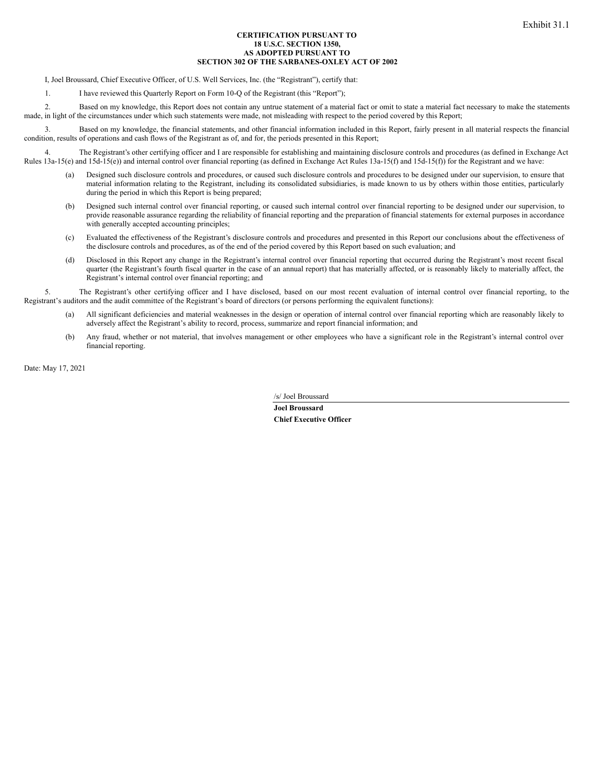### **CERTIFICATION PURSUANT TO 18 U.S.C. SECTION 1350, AS ADOPTED PURSUANT TO SECTION 302 OF THE SARBANES-OXLEY ACT OF 2002**

<span id="page-32-0"></span>I, Joel Broussard, Chief Executive Officer, of U.S. Well Services, Inc. (the "Registrant"), certify that:

1. I have reviewed this Quarterly Report on Form 10-Q of the Registrant (this "Report");

2. Based on my knowledge, this Report does not contain any untrue statement of a material fact or omit to state a material fact necessary to make the statements made, in light of the circumstances under which such statements were made, not misleading with respect to the period covered by this Report;

Based on my knowledge, the financial statements, and other financial information included in this Report, fairly present in all material respects the financial condition, results of operations and cash flows of the Registrant as of, and for, the periods presented in this Report;

4. The Registrant's other certifying officer and I are responsible for establishing and maintaining disclosure controls and procedures (as defined in Exchange Act Rules 13a-15(e) and 15d-15(e)) and internal control over financial reporting (as defined in Exchange Act Rules 13a-15(f) and 15d-15(f)) for the Registrant and we have:

- Designed such disclosure controls and procedures, or caused such disclosure controls and procedures to be designed under our supervision, to ensure that material information relating to the Registrant, including its consolidated subsidiaries, is made known to us by others within those entities, particularly during the period in which this Report is being prepared;
- (b) Designed such internal control over financial reporting, or caused such internal control over financial reporting to be designed under our supervision, to provide reasonable assurance regarding the reliability of financial reporting and the preparation of financial statements for external purposes in accordance with generally accepted accounting principles;
- (c) Evaluated the effectiveness of the Registrant's disclosure controls and procedures and presented in this Report our conclusions about the effectiveness of the disclosure controls and procedures, as of the end of the period covered by this Report based on such evaluation; and
- (d) Disclosed in this Report any change in the Registrant's internal control over financial reporting that occurred during the Registrant's most recent fiscal quarter (the Registrant's fourth fiscal quarter in the case of an annual report) that has materially affected, or is reasonably likely to materially affect, the Registrant's internal control over financial reporting; and

5. The Registrant's other certifying officer and I have disclosed, based on our most recent evaluation of internal control over financial reporting, to the Registrant's auditors and the audit committee of the Registrant's board of directors (or persons performing the equivalent functions):

- (a) All significant deficiencies and material weaknesses in the design or operation of internal control over financial reporting which are reasonably likely to adversely affect the Registrant's ability to record, process, summarize and report financial information; and
- (b) Any fraud, whether or not material, that involves management or other employees who have a significant role in the Registrant's internal control over financial reporting.

Date: May 17, 2021

/s/ Joel Broussard

**Joel Broussard Chief Executive Officer**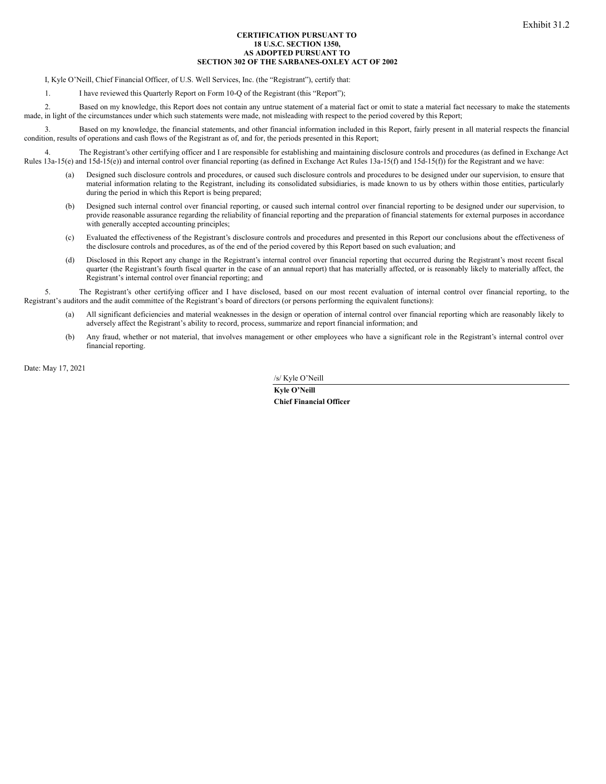#### **CERTIFICATION PURSUANT TO 18 U.S.C. SECTION 1350, AS ADOPTED PURSUANT TO SECTION 302 OF THE SARBANES-OXLEY ACT OF 2002**

<span id="page-33-0"></span>I, Kyle O'Neill, Chief Financial Officer, of U.S. Well Services, Inc. (the "Registrant"), certify that:

1. I have reviewed this Quarterly Report on Form 10-Q of the Registrant (this "Report");

2. Based on my knowledge, this Report does not contain any untrue statement of a material fact or omit to state a material fact necessary to make the statements made, in light of the circumstances under which such statements were made, not misleading with respect to the period covered by this Report;

3. Based on my knowledge, the financial statements, and other financial information included in this Report, fairly present in all material respects the financial condition, results of operations and cash flows of the Registrant as of, and for, the periods presented in this Report;

4. The Registrant's other certifying officer and I are responsible for establishing and maintaining disclosure controls and procedures (as defined in Exchange Act Rules 13a-15(e) and 15d-15(e)) and internal control over financial reporting (as defined in Exchange Act Rules 13a-15(f) and 15d-15(f)) for the Registrant and we have:

- Designed such disclosure controls and procedures, or caused such disclosure controls and procedures to be designed under our supervision, to ensure that material information relating to the Registrant, including its consolidated subsidiaries, is made known to us by others within those entities, particularly during the period in which this Report is being prepared;
- (b) Designed such internal control over financial reporting, or caused such internal control over financial reporting to be designed under our supervision, to provide reasonable assurance regarding the reliability of financial reporting and the preparation of financial statements for external purposes in accordance with generally accepted accounting principles;
- (c) Evaluated the effectiveness of the Registrant's disclosure controls and procedures and presented in this Report our conclusions about the effectiveness of the disclosure controls and procedures, as of the end of the period covered by this Report based on such evaluation; and
- (d) Disclosed in this Report any change in the Registrant's internal control over financial reporting that occurred during the Registrant's most recent fiscal quarter (the Registrant's fourth fiscal quarter in the case of an annual report) that has materially affected, or is reasonably likely to materially affect, the Registrant's internal control over financial reporting; and

5. The Registrant's other certifying officer and I have disclosed, based on our most recent evaluation of internal control over financial reporting, to the Registrant's auditors and the audit committee of the Registrant's board of directors (or persons performing the equivalent functions):

- (a) All significant deficiencies and material weaknesses in the design or operation of internal control over financial reporting which are reasonably likely to adversely affect the Registrant's ability to record, process, summarize and report financial information; and
- (b) Any fraud, whether or not material, that involves management or other employees who have a significant role in the Registrant's internal control over financial reporting.

Date: May 17, 2021

/s/ Kyle O'Neill

**Kyle O'Neill Chief Financial Officer**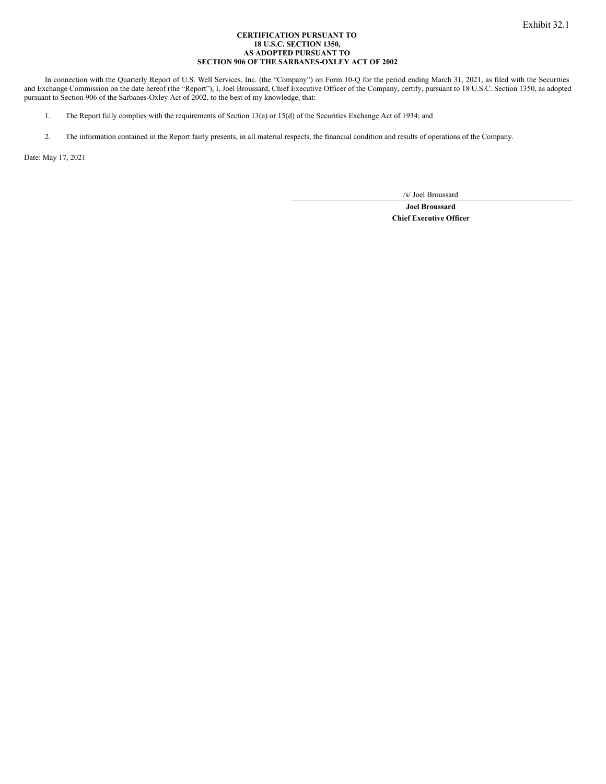# **CERTIFICATION PURSUANT TO 18 U.S.C. SECTION 1350, AS ADOPTED PURSUANT TO SECTION 906 OF THE SARBANES-OXLEY ACT OF 2002**

<span id="page-34-0"></span>In connection with the Quarterly Report of U.S. Well Services, Inc. (the "Company") on Form 10-Q for the period ending March 31, 2021, as filed with the Securities and Exchange Commission on the date hereof (the "Report"), I, Joel Broussard, Chief Executive Officer of the Company, certify, pursuant to 18 U.S.C. Section 1350, as adopted pursuant to Section 906 of the Sarbanes-Oxley Act of 2002, to the best of my knowledge, that:

- 1. The Report fully complies with the requirements of Section 13(a) or 15(d) of the Securities Exchange Act of 1934; and
- 2. The information contained in the Report fairly presents, in all material respects, the financial condition and results of operations of the Company.

Date: May 17, 2021

/s/ Joel Broussard

**Joel Broussard Chief Executive Officer**